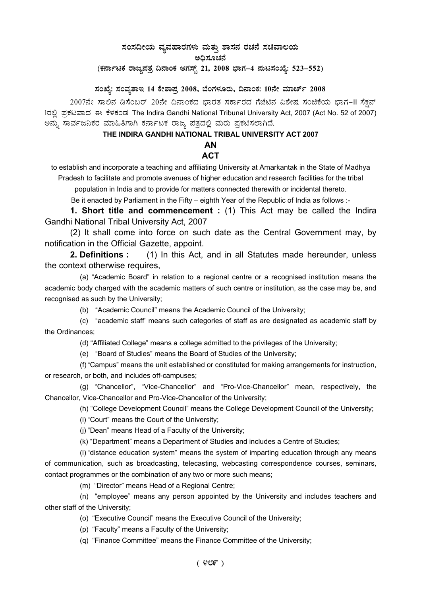# ಸಂಸದೀಯ ವ್ಯವಹಾರಗಳು ಮತ್ತು ಶಾಸನ ರಚನೆ ಸಚಿವಾಲಯ

ಅಧಿಸೂಚನೆ

(ಕರ್ನಾಟಕ ರಾಜ್ಯಪತ್ರ ದಿನಾಂಕ ಆಗಸ್ಟ್ 21, 2008 ಭಾಗ–4 **ಪುಟಸಂಖ್ಯೆ: 523–552**)

**¸ÀASÉå: ¸ÀAªÀå±ÁE 14 PÉñÁ¥Àæ 2008, ¨ÉAUÀ¼ÀÆgÀÄ, ¢£ÁAPÀ: 10£Éà ªÀiÁZïð 2008** 

2007ನೇ ಸಾಲಿನ ಡಿಸೆಂಬರ್ 20ನೇ ದಿನಾಂಕದ ಭಾರತ ಸರ್ಕಾರದ ಗೆಜೆಟಿನ ವಿಶೇಷ ಸಂಚಿಕೆಯ ಭಾಗ-II ಸೆಕ್ಷನ್ 1ರಲ್ಲಿ ಪ್ರಕಟವಾದ ಈ ಕೆಳಕಂಡ The Indira Gandhi National Tribunal University Act, 2007 (Act No. 52 of 2007) ಅನ್ನು ಸಾರ್ವಜನಿಕರ ಮಾಹಿತಿಗಾಗಿ ಕರ್ನಾಟಕ ರಾಜ್ಯ ಪತ್ರದಲ್ಲಿ ಮರು ಪ್ರಕಟಿಸಲಾಗಿದೆ.

# **THE INDIRA GANDHI NATIONAL TRIBAL UNIVERSITY ACT 2007**

## **AN**

# **ACT**

to establish and incorporate a teaching and affiliating University at Amarkantak in the State of Madhya Pradesh to facilitate and promote avenues of higher education and research facilities for the tribal population in India and to provide for matters connected therewith or incidental thereto.

Be it enacted by Parliament in the Fifty – eighth Year of the Republic of India as follows :-

**1. Short title and commencement :** (1) This Act may be called the Indira Gandhi National Tribal University Act, 2007

(2) It shall come into force on such date as the Central Government may, by notification in the Official Gazette, appoint.

**2. Definitions :** (1) In this Act, and in all Statutes made hereunder, unless the context otherwise requires,

(a) "Academic Board" in relation to a regional centre or a recognised institution means the academic body charged with the academic matters of such centre or institution, as the case may be, and recognised as such by the University;

(b) "Academic Council" means the Academic Council of the University;

(c) "academic staff' means such categories of staff as are designated as academic staff by the Ordinances;

(d) "Affiliated College" means a college admitted to the privileges of the University;

(e) "Board of Studies" means the Board of Studies of the University;

(f) "Campus" means the unit established or constituted for making arrangements for instruction, or research, or both, and includes off-campuses;

(g) "Chancellor", "Vice-Chancellor" and "Pro-Vice-Chancellor" mean, respectively, the Chancellor, Vice-Chancellor and Pro-Vice-Chancellor of the University;

(h) "College Development Council" means the College Development Council of the University;

(i) "Court" means the Court of the University;

(j) "Dean" means Head of a Faculty of the University;

(k) "Department" means a Department of Studies and includes a Centre of Studies;

(l) "distance education system" means the system of imparting education through any means of communication, such as broadcasting, telecasting, webcasting correspondence courses, seminars, contact programmes or the combination of any two or more such means;

(m) "Director" means Head of a Regional Centre;

(n) "employee" means any person appointed by the University and includes teachers and other staff of the University;

(o) "Executive Council" means the Executive Council of the University;

(p) "Faculty" means a Faculty of the University;

(q) "Finance Committee" means the Finance Committee of the University;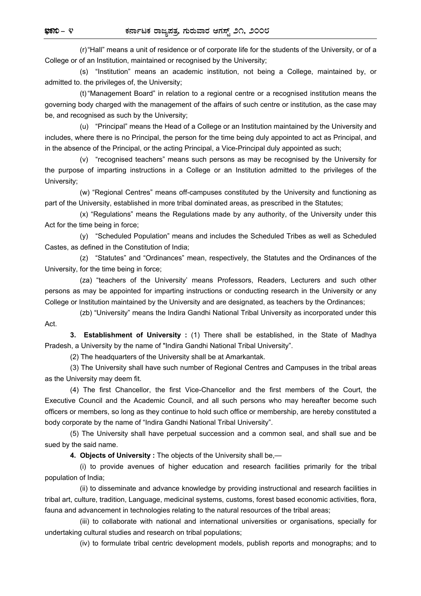(r) "Hall" means a unit of residence or of corporate life for the students of the University, or of a College or of an Institution, maintained or recognised by the University;

 (s) "Institution" means an academic institution, not being a College, maintained by, or admitted to. the privileges of, the University;

 (t) "Management Board" in relation to a regional centre or a recognised institution means the governing body charged with the management of the affairs of such centre or institution, as the case may be, and recognised as such by the University;

 (u) "Principal" means the Head of a College or an Institution maintained by the University and includes, where there is no Principal, the person for the time being duly appointed to act as Principal, and in the absence of the Principal, or the acting Principal, a Vice-Principal duly appointed as such;

 (v) "recognised teachers" means such persons as may be recognised by the University for the purpose of imparting instructions in a College or an Institution admitted to the privileges of the University;

 (w) "Regional Centres" means off-campuses constituted by the University and functioning as part of the University, established in more tribal dominated areas, as prescribed in the Statutes;

 (x) "Regulations" means the Regulations made by any authority, of the University under this Act for the time being in force;

 (y) "Scheduled Population" means and includes the Scheduled Tribes as well as Scheduled Castes, as defined in the Constitution of India;

 (z) "Statutes" and "Ordinances" mean, respectively, the Statutes and the Ordinances of the University, for the time being in force;

 (za) "teachers of the University' means Professors, Readers, Lecturers and such other persons as may be appointed for imparting instructions or conducting research in the University or any College or Institution maintained by the University and are designated, as teachers by the Ordinances;

 (zb) "University" means the Indira Gandhi National Tribal University as incorporated under this Act.

 **3. Establishment of University :** (1) There shall be established, in the State of Madhya Pradesh, a University by the name of "Indira Gandhi National Tribal University".

(2) The headquarters of the University shall be at Amarkantak.

 (3) The University shall have such number of Regional Centres and Campuses in the tribal areas as the University may deem fit.

 (4) The first Chancellor, the first Vice-Chancellor and the first members of the Court, the Executive Council and the Academic Council, and all such persons who may hereafter become such officers or members, so long as they continue to hold such office or membership, are hereby constituted a body corporate by the name of "Indira Gandhi National Tribal University".

 (5) The University shall have perpetual succession and a common seal, and shall sue and be sued by the said name.

 **4. Objects of University :** The objects of the University shall be,—

 (i) to provide avenues of higher education and research facilities primarily for the tribal population of India;

 (ii) to disseminate and advance knowledge by providing instructional and research facilities in tribal art, culture, tradition, Language, medicinal systems, customs, forest based economic activities, flora, fauna and advancement in technologies relating to the natural resources of the tribal areas;

 (iii) to collaborate with national and international universities or organisations, specially for undertaking cultural studies and research on tribal populations;

(iv) to formulate tribal centric development models, publish reports and monographs; and to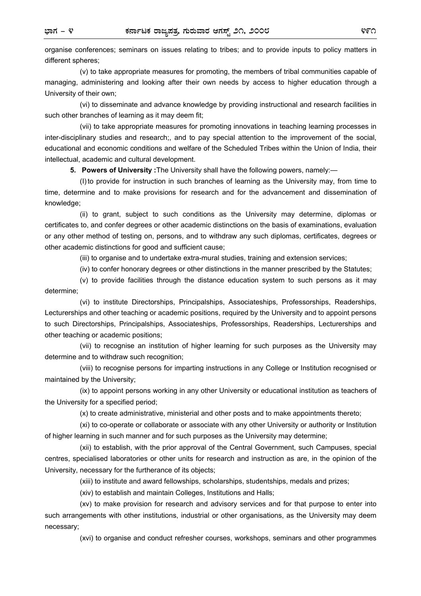organise conferences; seminars on issues relating to tribes; and to provide inputs to policy matters in different spheres;

 (v) to take appropriate measures for promoting, the members of tribal communities capable of managing, administering and looking after their own needs by access to higher education through a University of their own;

 (vi) to disseminate and advance knowledge by providing instructional and research facilities in such other branches of learning as it may deem fit;

 (vii) to take appropriate measures for promoting innovations in teaching learning processes in inter-disciplinary studies and research;, and to pay special attention to the improvement of the social, educational and economic conditions and welfare of the Scheduled Tribes within the Union of India, their intellectual, academic and cultural development.

 **5. Powers of University :**The University shall have the following powers, namely:—

 (I) to provide for instruction in such branches of learning as the University may, from time to time, determine and to make provisions for research and for the advancement and dissemination of knowledge;

 (ii) to grant, subject to such conditions as the University may determine, diplomas or certificates to, and confer degrees or other academic distinctions on the basis of examinations, evaluation or any other method of testing on, persons, and to withdraw any such diplomas, certificates, degrees or other academic distinctions for good and sufficient cause;

(iii) to organise and to undertake extra-mural studies, training and extension services;

(iv) to confer honorary degrees or other distinctions in the manner prescribed by the Statutes;

 (v) to provide facilities through the distance education system to such persons as it may determine;

 (vi) to institute Directorships, Principalships, Associateships, Professorships, Readerships, Lecturerships and other teaching or academic positions, required by the University and to appoint persons to such Directorships, Principalships, Associateships, Professorships, Readerships, Lecturerships and other teaching or academic positions;

 (vii) to recognise an institution of higher learning for such purposes as the University may determine and to withdraw such recognition;

 (viii) to recognise persons for imparting instructions in any College or Institution recognised or maintained by the University;

 (ix) to appoint persons working in any other University or educational institution as teachers of the University for a specified period;

(x) to create administrative, ministerial and other posts and to make appointments thereto;

 (xi) to co-operate or collaborate or associate with any other University or authority or Institution of higher learning in such manner and for such purposes as the University may determine;

 (xii) to establish, with the prior approval of the Central Government, such Campuses, special centres, specialised laboratories or other units for research and instruction as are, in the opinion of the University, necessary for the furtherance of its objects;

(xiii) to institute and award fellowships, scholarships, studentships, medals and prizes;

(xiv) to establish and maintain Colleges, Institutions and Halls;

 (xv) to make provision for research and advisory services and for that purpose to enter into such arrangements with other institutions, industrial or other organisations, as the University may deem necessary;

(xvi) to organise and conduct refresher courses, workshops, seminars and other programmes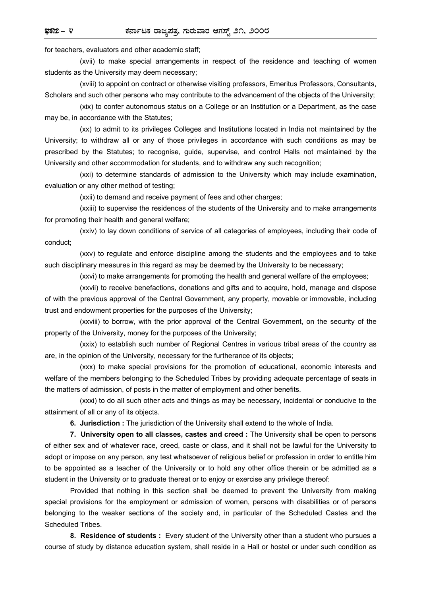for teachers, evaluators and other academic staff;

 (xvii) to make special arrangements in respect of the residence and teaching of women students as the University may deem necessary;

 (xviii) to appoint on contract or otherwise visiting professors, Emeritus Professors, Consultants, Scholars and such other persons who may contribute to the advancement of the objects of the University;

 (xix) to confer autonomous status on a College or an Institution or a Department, as the case may be, in accordance with the Statutes;

 (xx) to admit to its privileges Colleges and Institutions located in India not maintained by the University; to withdraw all or any of those privileges in accordance with such conditions as may be prescribed by the Statutes; to recognise, guide, supervise, and control Halls not maintained by the University and other accommodation for students, and to withdraw any such recognition;

 (xxi) to determine standards of admission to the University which may include examination, evaluation or any other method of testing;

(xxii) to demand and receive payment of fees and other charges;

 (xxiii) to supervise the residences of the students of the University and to make arrangements for promoting their health and general welfare;

 (xxiv) to lay down conditions of service of all categories of employees, including their code of conduct;

 (xxv) to regulate and enforce discipline among the students and the employees and to take such disciplinary measures in this regard as may be deemed by the University to be necessary;

(xxvi) to make arrangements for promoting the health and general welfare of the employees;

 (xxvii) to receive benefactions, donations and gifts and to acquire, hold, manage and dispose of with the previous approval of the Central Government, any property, movable or immovable, including trust and endowment properties for the purposes of the University;

 (xxviii) to borrow, with the prior approval of the Central Government, on the security of the property of the University, money for the purposes of the University;

 (xxix) to establish such number of Regional Centres in various tribal areas of the country as are, in the opinion of the University, necessary for the furtherance of its objects;

 (xxx) to make special provisions for the promotion of educational, economic interests and welfare of the members belonging to the Scheduled Tribes by providing adequate percentage of seats in the matters of admission, of posts in the matter of employment and other benefits.

 (xxxi) to do all such other acts and things as may be necessary, incidental or conducive to the attainment of all or any of its objects.

 **6. Jurisdiction :** The jurisdiction of the University shall extend to the whole of India.

 **7. University open to all classes, castes and creed :** The University shall be open to persons of either sex and of whatever race, creed, caste or class, and it shall not be lawful for the University to adopt or impose on any person, any test whatsoever of religious belief or profession in order to entitle him to be appointed as a teacher of the University or to hold any other office therein or be admitted as a student in the University or to graduate thereat or to enjoy or exercise any privilege thereof:

 Provided that nothing in this section shall be deemed to prevent the University from making special provisions for the employment or admission of women, persons with disabilities or of persons belonging to the weaker sections of the society and, in particular of the Scheduled Castes and the Scheduled Tribes.

 **8. Residence of students :** Every student of the University other than a student who pursues a course of study by distance education system, shall reside in a Hall or hostel or under such condition as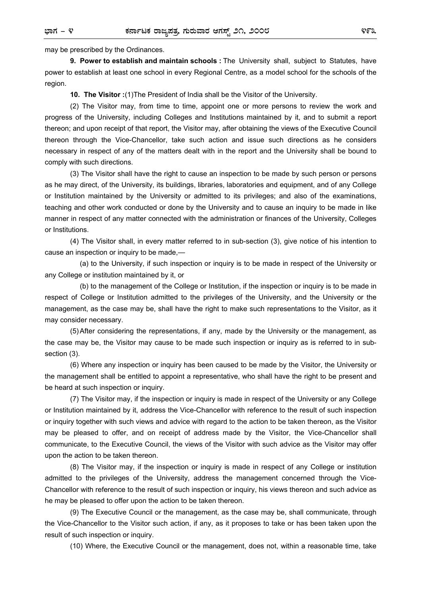may be prescribed by the Ordinances.

 **9. Power to establish and maintain schools :** The University shall, subject to Statutes, have power to establish at least one school in every Regional Centre, as a model school for the schools of the region.

 **10. The Visitor :**(1)The President of India shall be the Visitor of the University.

 (2) The Visitor may, from time to time, appoint one or more persons to review the work and progress of the University, including Colleges and Institutions maintained by it, and to submit a report thereon; and upon receipt of that report, the Visitor may, after obtaining the views of the Executive Council thereon through the Vice-Chancellor, take such action and issue such directions as he considers necessary in respect of any of the matters dealt with in the report and the University shall be bound to comply with such directions.

 (3) The Visitor shall have the right to cause an inspection to be made by such person or persons as he may direct, of the University, its buildings, libraries, laboratories and equipment, and of any College or Institution maintained by the University or admitted to its privileges; and also of the examinations, teaching and other work conducted or done by the University and to cause an inquiry to be made in like manner in respect of any matter connected with the administration or finances of the University, Colleges or Institutions.

 (4) The Visitor shall, in every matter referred to in sub-section (3), give notice of his intention to cause an inspection or inquiry to be made,—

 (a) to the University, if such inspection or inquiry is to be made in respect of the University or any College or institution maintained by it, or

 (b) to the management of the College or Institution, if the inspection or inquiry is to be made in respect of College or Institution admitted to the privileges of the University, and the University or the management, as the case may be, shall have the right to make such representations to the Visitor, as it may consider necessary.

 (5) After considering the representations, if any, made by the University or the management, as the case may be, the Visitor may cause to be made such inspection or inquiry as is referred to in subsection (3).

 (6) Where any inspection or inquiry has been caused to be made by the Visitor, the University or the management shall be entitled to appoint a representative, who shall have the right to be present and be heard at such inspection or inquiry.

 (7) The Visitor may, if the inspection or inquiry is made in respect of the University or any College or Institution maintained by it, address the Vice-Chancellor with reference to the result of such inspection or inquiry together with such views and advice with regard to the action to be taken thereon, as the Visitor may be pleased to offer, and on receipt of address made by the Visitor, the Vice-Chancellor shall communicate, to the Executive Council, the views of the Visitor with such advice as the Visitor may offer upon the action to be taken thereon.

 (8) The Visitor may, if the inspection or inquiry is made in respect of any College or institution admitted to the privileges of the University, address the management concerned through the Vice-Chancellor with reference to the result of such inspection or inquiry, his views thereon and such advice as he may be pleased to offer upon the action to be taken thereon.

 (9) The Executive Council or the management, as the case may be, shall communicate, through the Vice-Chancellor to the Visitor such action, if any, as it proposes to take or has been taken upon the result of such inspection or inquiry.

(10) Where, the Executive Council or the management, does not, within a reasonable time, take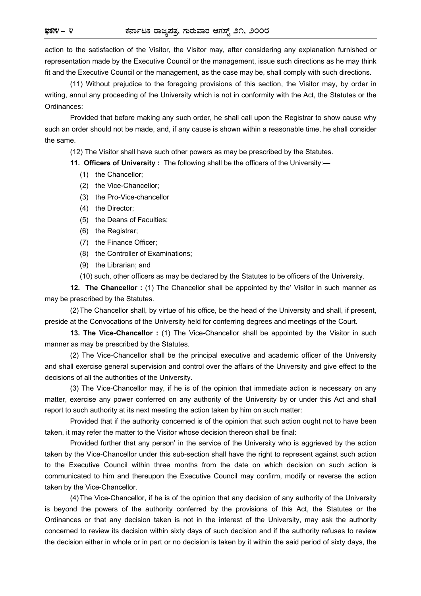action to the satisfaction of the Visitor, the Visitor may, after considering any explanation furnished or representation made by the Executive Council or the management, issue such directions as he may think fit and the Executive Council or the management, as the case may be, shall comply with such directions.

 (11) Without prejudice to the foregoing provisions of this section, the Visitor may, by order in writing, annul any proceeding of the University which is not in conformity with the Act, the Statutes or the Ordinances:

 Provided that before making any such order, he shall call upon the Registrar to show cause why such an order should not be made, and, if any cause is shown within a reasonable time, he shall consider the same.

(12) The Visitor shall have such other powers as may be prescribed by the Statutes.

 **11. Officers of University :** The following shall be the officers of the University:—

- (1) the Chancellor;
- (2) the Vice-Chancellor;
- (3) the Pro-Vice-chancellor
- (4) the Director;
- (5) the Deans of Faculties;
- (6) the Registrar;
- (7) the Finance Officer;
- (8) the Controller of Examinations;
- (9) the Librarian; and
- (10) such, other officers as may be declared by the Statutes to be officers of the University.

**12. The Chancellor**: (1) The Chancellor shall be appointed by the' Visitor in such manner as may be prescribed by the Statutes.

 (2) The Chancellor shall, by virtue of his office, be the head of the University and shall, if present, preside at the Convocations of the University held for conferring degrees and meetings of the Court.

**13. The Vice-Chancellor**: (1) The Vice-Chancellor shall be appointed by the Visitor in such manner as may be prescribed by the Statutes.

 (2) The Vice-Chancellor shall be the principal executive and academic officer of the University and shall exercise general supervision and control over the affairs of the University and give effect to the decisions of all the authorities of the University.

 (3) The Vice-Chancellor may, if he is of the opinion that immediate action is necessary on any matter, exercise any power conferred on any authority of the University by or under this Act and shall report to such authority at its next meeting the action taken by him on such matter:

 Provided that if the authority concerned is of the opinion that such action ought not to have been taken, it may refer the matter to the Visitor whose decision thereon shall be final:

 Provided further that any person' in the service of the University who is aggrieved by the action taken by the Vice-Chancellor under this sub-section shall have the right to represent against such action to the Executive Council within three months from the date on which decision on such action is communicated to him and thereupon the Executive Council may confirm, modify or reverse the action taken by the Vice-Chancellor.

 (4) The Vice-Chancellor, if he is of the opinion that any decision of any authority of the University is beyond the powers of the authority conferred by the provisions of this Act, the Statutes or the Ordinances or that any decision taken is not in the interest of the University, may ask the authority concerned to review its decision within sixty days of such decision and if the authority refuses to review the decision either in whole or in part or no decision is taken by it within the said period of sixty days, the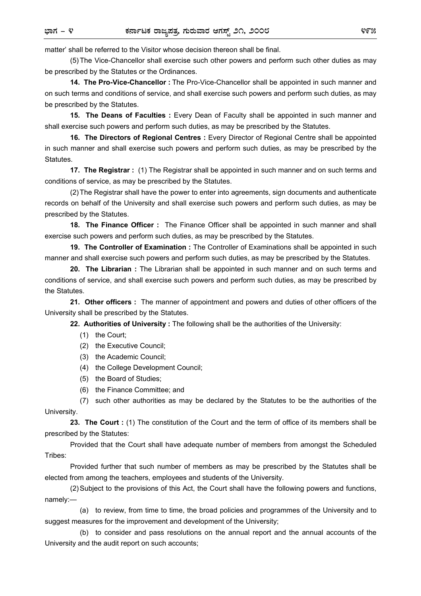matter' shall be referred to the Visitor whose decision thereon shall be final.

 (5) The Vice-Chancellor shall exercise such other powers and perform such other duties as may be prescribed by the Statutes or the Ordinances.

 **14. The Pro-Vice-Chancellor :** The Pro-Vice-Chancellor shall be appointed in such manner and on such terms and conditions of service, and shall exercise such powers and perform such duties, as may be prescribed by the Statutes.

 **15. The Deans of Faculties :** Every Dean of Faculty shall be appointed in such manner and shall exercise such powers and perform such duties, as may be prescribed by the Statutes.

 **16. The Directors of Regional Centres :** Every Director of Regional Centre shall be appointed in such manner and shall exercise such powers and perform such duties, as may be prescribed by the Statutes.

 **17. The Registrar :** (1) The Registrar shall be appointed in such manner and on such terms and conditions of service, as may be prescribed by the Statutes.

 (2) The Registrar shall have the power to enter into agreements, sign documents and authenticate records on behalf of the University and shall exercise such powers and perform such duties, as may be prescribed by the Statutes.

 **18. The Finance Officer :** The Finance Officer shall be appointed in such manner and shall exercise such powers and perform such duties, as may be prescribed by the Statutes.

 **19. The Controller of Examination :** The Controller of Examinations shall be appointed in such manner and shall exercise such powers and perform such duties, as may be prescribed by the Statutes.

 **20. The Librarian :** The Librarian shall be appointed in such manner and on such terms and conditions of service, and shall exercise such powers and perform such duties, as may be prescribed by the Statutes.

 **21. Other officers :** The manner of appointment and powers and duties of other officers of the University shall be prescribed by the Statutes.

 **22. Authorities of University :** The following shall be the authorities of the University:

- (1) the Court;
- (2) the Executive Council;
- (3) the Academic Council;
- (4) the College Development Council;
- (5) the Board of Studies;
- (6) the Finance Committee; and

 (7) such other authorities as may be declared by the Statutes to be the authorities of the University.

 **23. The Court :** (1) The constitution of the Court and the term of office of its members shall be prescribed by the Statutes:

 Provided that the Court shall have adequate number of members from amongst the Scheduled Tribes:

 Provided further that such number of members as may be prescribed by the Statutes shall be elected from among the teachers, employees and students of the University.

 (2) Subject to the provisions of this Act, the Court shall have the following powers and functions, namely:—

 (a) to review, from time to time, the broad policies and programmes of the University and to suggest measures for the improvement and development of the University;

 (b) to consider and pass resolutions on the annual report and the annual accounts of the University and the audit report on such accounts;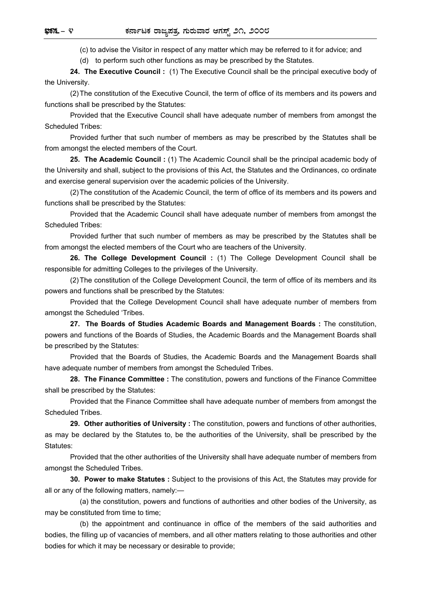(c) to advise the Visitor in respect of any matter which may be referred to it for advice; and

(d) to perform such other functions as may be prescribed by the Statutes.

 **24. The Executive Council :** (1) The Executive Council shall be the principal executive body of the University.

 (2) The constitution of the Executive Council, the term of office of its members and its powers and functions shall be prescribed by the Statutes:

 Provided that the Executive Council shall have adequate number of members from amongst the Scheduled Tribes:

 Provided further that such number of members as may be prescribed by the Statutes shall be from amongst the elected members of the Court.

 **25. The Academic Council :** (1) The Academic Council shall be the principal academic body of the University and shall, subject to the provisions of this Act, the Statutes and the Ordinances, co ordinate and exercise general supervision over the academic policies of the University.

 (2) The constitution of the Academic Council, the term of office of its members and its powers and functions shall be prescribed by the Statutes:

 Provided that the Academic Council shall have adequate number of members from amongst the Scheduled Tribes:

 Provided further that such number of members as may be prescribed by the Statutes shall be from amongst the elected members of the Court who are teachers of the University.

 **26. The College Development Council :** (1) The College Development Council shall be responsible for admitting Colleges to the privileges of the University.

 (2) The constitution of the College Development Council, the term of office of its members and its powers and functions shall be prescribed by the Statutes:

 Provided that the College Development Council shall have adequate number of members from amongst the Scheduled 'Tribes.

 **27. The Boards of Studies Academic Boards and Management Boards :** The constitution, powers and functions of the Boards of Studies, the Academic Boards and the Management Boards shall be prescribed by the Statutes:

 Provided that the Boards of Studies, the Academic Boards and the Management Boards shall have adequate number of members from amongst the Scheduled Tribes.

 **28. The Finance Committee :** The constitution, powers and functions of the Finance Committee shall be prescribed by the Statutes:

 Provided that the Finance Committee shall have adequate number of members from amongst the Scheduled Tribes.

 **29. Other authorities of University :** The constitution, powers and functions of other authorities, as may be declared by the Statutes to, be the authorities of the University, shall be prescribed by the Statutes:

 Provided that the other authorities of the University shall have adequate number of members from amongst the Scheduled Tribes.

 **30. Power to make Statutes :** Subject to the provisions of this Act, the Statutes may provide for all or any of the following matters, namely:—

 (a) the constitution, powers and functions of authorities and other bodies of the University, as may be constituted from time to time;

 (b) the appointment and continuance in office of the members of the said authorities and bodies, the filling up of vacancies of members, and all other matters relating to those authorities and other bodies for which it may be necessary or desirable to provide;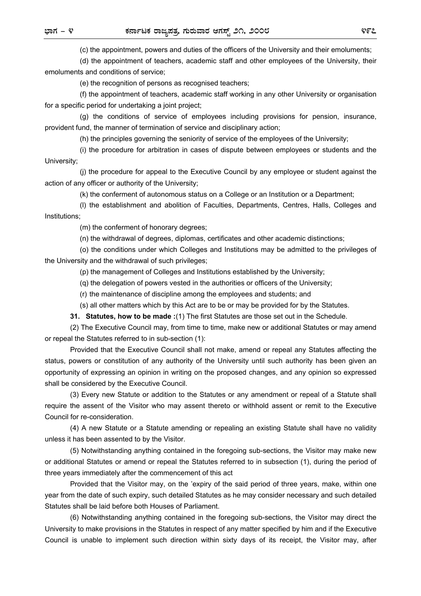(c) the appointment, powers and duties of the officers of the University and their emoluments;

 (d) the appointment of teachers, academic staff and other employees of the University, their emoluments and conditions of service;

(e) the recognition of persons as recognised teachers;

 (f) the appointment of teachers, academic staff working in any other University or organisation for a specific period for undertaking a joint project;

 (g) the conditions of service of employees including provisions for pension, insurance, provident fund, the manner of termination of service and disciplinary action;

(h) the principles governing the seniority of service of the employees of the University;

 (i) the procedure for arbitration in cases of dispute between employees or students and the University;

 (j) the procedure for appeal to the Executive Council by any employee or student against the action of any officer or authority of the University;

(k) the conferment of autonomous status on a College or an Institution or a Department;

 (l) the establishment and abolition of Faculties, Departments, Centres, Halls, Colleges and Institutions;

(m) the conferment of honorary degrees;

(n) the withdrawal of degrees, diplomas, certificates and other academic distinctions;

 (o) the conditions under which Colleges and Institutions may be admitted to the privileges of the University and the withdrawal of such privileges;

(p) the management of Colleges and Institutions established by the University;

(q) the delegation of powers vested in the authorities or officers of the University;

(r) the maintenance of discipline among the employees and students; and

(s) all other matters which by this Act are to be or may be provided for by the Statutes.

 **31. Statutes, how to be made :**(1) The first Statutes are those set out in the Schedule.

 (2) The Executive Council may, from time to time, make new or additional Statutes or may amend or repeal the Statutes referred to in sub-section (1):

 Provided that the Executive Council shall not make, amend or repeal any Statutes affecting the status, powers or constitution of any authority of the University until such authority has been given an opportunity of expressing an opinion in writing on the proposed changes, and any opinion so expressed shall be considered by the Executive Council.

 (3) Every new Statute or addition to the Statutes or any amendment or repeal of a Statute shall require the assent of the Visitor who may assent thereto or withhold assent or remit to the Executive Council for re-consideration.

 (4) A new Statute or a Statute amending or repealing an existing Statute shall have no validity unless it has been assented to by the Visitor.

 (5) Notwithstanding anything contained in the foregoing sub-sections, the Visitor may make new or additional Statutes or amend or repeal the Statutes referred to in subsection (1), during the period of three years immediately after the commencement of this act

 Provided that the Visitor may, on the 'expiry of the said period of three years, make, within one year from the date of such expiry, such detailed Statutes as he may consider necessary and such detailed Statutes shall be laid before both Houses of Parliament.

 (6) Notwithstanding anything contained in the foregoing sub-sections, the Visitor may direct the University to make provisions in the Statutes in respect of any matter specified by him and if the Executive Council is unable to implement such direction within sixty days of its receipt, the Visitor may, after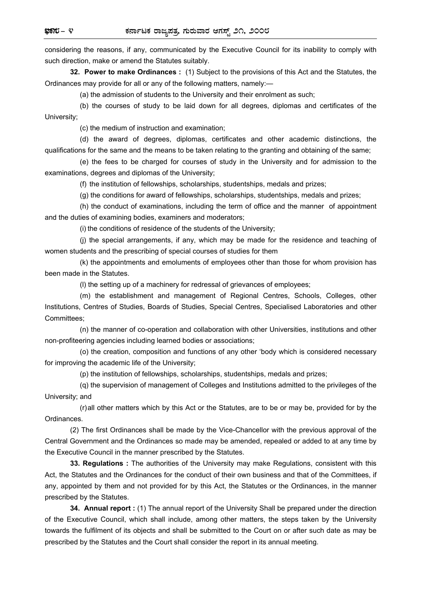considering the reasons, if any, communicated by the Executive Council for its inability to comply with such direction, make or amend the Statutes suitably.

 **32. Power to make Ordinances :** (1) Subject to the provisions of this Act and the Statutes, the Ordinances may provide for all or any of the following matters, namely:—

(a) the admission of students to the University and their enrolment as such;

 (b) the courses of study to be laid down for all degrees, diplomas and certificates of the University;

(c) the medium of instruction and examination;

 (d) the award of degrees, diplomas, certificates and other academic distinctions, the qualifications for the same and the means to be taken relating to the granting and obtaining of the same;

 (e) the fees to be charged for courses of study in the University and for admission to the examinations, degrees and diplomas of the University;

(f) the institution of fellowships, scholarships, studentships, medals and prizes;

(g) the conditions for award of fellowships, scholarships, studentships, medals and prizes;

 (h) the conduct of examinations, including the term of office and the manner of appointment and the duties of examining bodies, examiners and moderators;

(i) the conditions of residence of the students of the University;

 (j) the special arrangements, if any, which may be made for the residence and teaching of women students and the prescribing of special courses of studies for them

 (k) the appointments and emoluments of employees other than those for whom provision has been made in the Statutes.

(l) the setting up of a machinery for redressal of grievances of employees;

 (m) the establishment and management of Regional Centres, Schools, Colleges, other Institutions, Centres of Studies, Boards of Studies, Special Centres, Specialised Laboratories and other Committees;

 (n) the manner of co-operation and collaboration with other Universities, institutions and other non-profiteering agencies including learned bodies or associations;

 (o) the creation, composition and functions of any other 'body which is considered necessary for improving the academic life of the University;

(p) the institution of fellowships, scholarships, studentships, medals and prizes;

 (q) the supervision of management of Colleges and Institutions admitted to the privileges of the University; and

 (r) all other matters which by this Act or the Statutes, are to be or may be, provided for by the Ordinances.

 (2) The first Ordinances shall be made by the Vice-Chancellor with the previous approval of the Central Government and the Ordinances so made may be amended, repealed or added to at any time by the Executive Council in the manner prescribed by the Statutes.

 **33. Regulations :** The authorities of the University may make Regulations, consistent with this Act, the Statutes and the Ordinances for the conduct of their own business and that of the Committees, if any, appointed by them and not provided for by this Act, the Statutes or the Ordinances, in the manner prescribed by the Statutes.

 **34. Annual report :** (1) The annual report of the University Shall be prepared under the direction of the Executive Council, which shall include, among other matters, the steps taken by the University towards the fulfilment of its objects and shall be submitted to the Court on or after such date as may be prescribed by the Statutes and the Court shall consider the report in its annual meeting.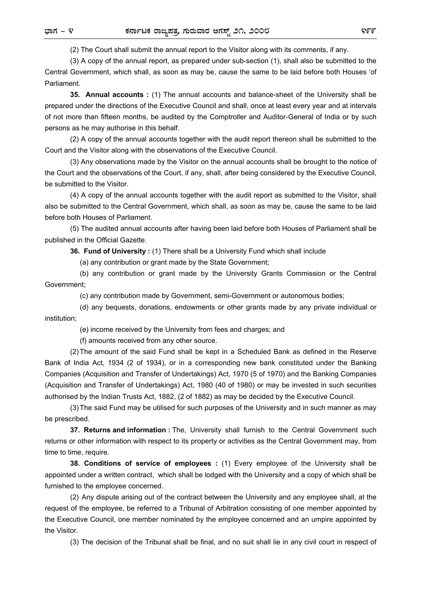(2) The Court shall submit the annual report to the Visitor along with its comments, if any.

 (3) A copy of the annual report, as prepared under sub-section (1), shall also be submitted to the Central Government, which shall, as soon as may be, cause the same to be laid before both Houses 'of Parliament.

 **35. Annual accounts :** (1) The annual accounts and balance-sheet of the University shall be prepared under the directions of the Executive Council and shall, once at least every year and at intervals of not more than fifteen months, be audited by the Comptroller and Auditor-General of India or by such persons as he may authorise in this behalf.

 (2) A copy of the annual accounts together with the audit report thereon shall be submitted to the Court and the Visitor along with the observations of the Executive Council.

 (3) Any observations made by the Visitor on the annual accounts shall be brought to the notice of the Court and the observations of the Court, if any, shall, after being considered by the Executive Council, be submitted to the Visitor.

 (4) A copy of the annual accounts together with the audit report as submitted to the Visitor, shall also be submitted to the Central Government, which shall, as soon as may be, cause the same to be laid before both Houses of Parliament.

 (5) The audited annual accounts after having been laid before both Houses of Parliament shall be published in the Official Gazette.

 **36. Fund of University :** (1) There shall be a University Fund which shall include

(a) any contribution or grant made by the State Government;

 (b) any contribution or grant made by the University Grants Commission or the Central Government;

(c) any contribution made by Government, semi-Government or autonomous bodies;

 (d) any bequests, donations, endowments or other grants made by any private individual or institution;

(e) income received by the University from fees and charges; and

(f) amounts received from any other source.

 (2) The amount of the said Fund shall be kept in a Scheduled Bank as defined in the Reserve Bank of India Act, 1934 (2 of 1934), or in a corresponding new bank constituted under the Banking Companies (Acquisition and Transfer of Undertakings) Act, 1970 (5 of 1970) and the Banking Companies (Acquisition and Transfer of Undertakings) Act, 1980 (40 of 1980) or may be invested in such securities authorised by the Indian Trusts Act, 1882, (2 of 1882) as may be decided by the Executive Council.

 (3) The said Fund may be utilised for such purposes of the University and in such manner as may be prescribed.

 **37. Returns and information :** The, University shall furnish to the Central Government such returns or other information with respect to its property or activities as the Central Government may, from time to time, require.

 **38. Conditions of service of employees :** (1) Every employee of the University shall be appointed under a written contract, which shall be lodged with the University and a copy of which shall be furnished to the employee concerned.

 (2) Any dispute arising out of the contract between the University and any employee shall, at the request of the employee, be referred to a Tribunal of Arbitration consisting of one member appointed by the Executive Council, one member nominated by the employee concerned and an umpire appointed by the Visitor.

(3) The decision of the Tribunal shall be final, and no suit shall lie in any civil court in respect of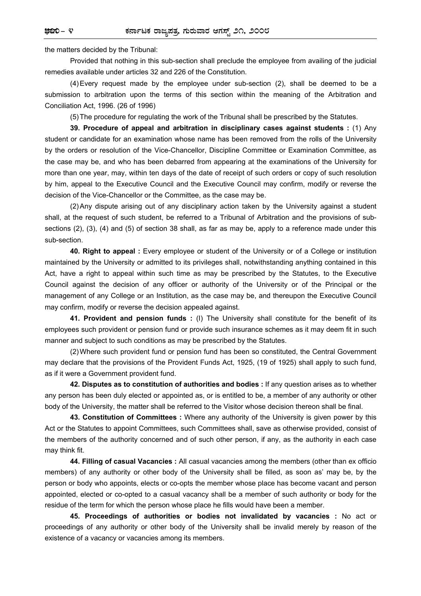the matters decided by the Tribunal:

 Provided that nothing in this sub-section shall preclude the employee from availing of the judicial remedies available under articles 32 and 226 of the Constitution.

 (4) Every request made by the employee under sub-section (2), shall be deemed to be a submission to arbitration upon the terms of this section within the meaning of the Arbitration and Conciliation Act, 1996. (26 of 1996)

(5) The procedure for regulating the work of the Tribunal shall be prescribed by the Statutes.

 **39. Procedure of appeal and arbitration in disciplinary cases against students :** (1) Any student or candidate for an examination whose name has been removed from the rolls of the University by the orders or resolution of the Vice-Chancellor, Discipline Committee or Examination Committee, as the case may be, and who has been debarred from appearing at the examinations of the University for more than one year, may, within ten days of the date of receipt of such orders or copy of such resolution by him, appeal to the Executive Council and the Executive Council may confirm, modify or reverse the decision of the Vice-Chancellor or the Committee, as the case may be.

 (2) Any dispute arising out of any disciplinary action taken by the University against a student shall, at the request of such student, be referred to a Tribunal of Arbitration and the provisions of subsections (2), (3), (4) and (5) of section 38 shall, as far as may be, apply to a reference made under this sub-section.

 **40. Right to appeal :** Every employee or student of the University or of a College or institution maintained by the University or admitted to its privileges shall, notwithstanding anything contained in this Act, have a right to appeal within such time as may be prescribed by the Statutes, to the Executive Council against the decision of any officer or authority of the University or of the Principal or the management of any College or an Institution, as the case may be, and thereupon the Executive Council may confirm, modify or reverse the decision appealed against.

**41. Provident and pension funds :** (I) The University shall constitute for the benefit of its employees such provident or pension fund or provide such insurance schemes as it may deem fit in such manner and subject to such conditions as may be prescribed by the Statutes.

 (2) Where such provident fund or pension fund has been so constituted, the Central Government may declare that the provisions of the Provident Funds Act, 1925, (19 of 1925) shall apply to such fund, as if it were a Government provident fund.

 **42. Disputes as to constitution of authorities and bodies :** If any question arises as to whether any person has been duly elected or appointed as, or is entitled to be, a member of any authority or other body of the University, the matter shall be referred to the Visitor whose decision thereon shall be final.

 **43. Constitution of Committees :** Where any authority of the University is given power by this Act or the Statutes to appoint Committees, such Committees shall, save as otherwise provided, consist of the members of the authority concerned and of such other person, if any, as the authority in each case may think fit.

 **44. Filling of casual Vacancies :** All casual vacancies among the members (other than ex officio members) of any authority or other body of the University shall be filled, as soon as' may be, by the person or body who appoints, elects or co-opts the member whose place has become vacant and person appointed, elected or co-opted to a casual vacancy shall be a member of such authority or body for the residue of the term for which the person whose place he fills would have been a member.

 **45. Proceedings of authorities or bodies not invalidated by vacancies :** No act or proceedings of any authority or other body of the University shall be invalid merely by reason of the existence of a vacancy or vacancies among its members.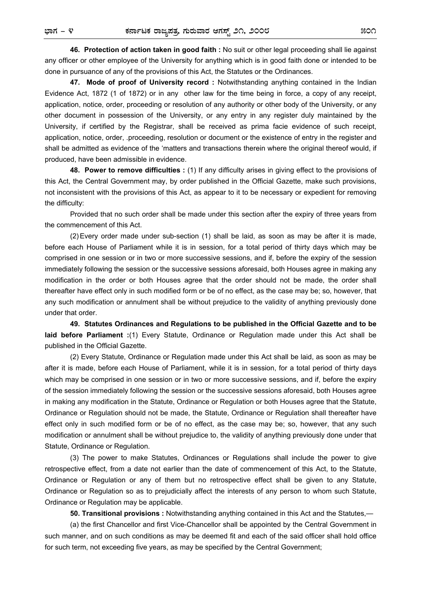**46. Protection of action taken in good faith :** No suit or other legal proceeding shall lie against any officer or other employee of the University for anything which is in good faith done or intended to be done in pursuance of any of the provisions of this Act, the Statutes or the Ordinances.

 **47. Mode of proof of University record :** Notwithstanding anything contained in the Indian Evidence Act, 1872 (1 of 1872) or in any other law for the time being in force, a copy of any receipt, application, notice, order, proceeding or resolution of any authority or other body of the University, or any other document in possession of the University, or any entry in any register duly maintained by the University, if certified by the Registrar, shall be received as prima facie evidence of such receipt, application, notice, order, .proceeding, resolution or document or the existence of entry in the register and shall be admitted as evidence of the 'matters and transactions therein where the original thereof would, if produced, have been admissible in evidence.

 **48. Power to remove difficulties :** (1) If any difficulty arises in giving effect to the provisions of this Act, the Central Government may, by order published in the Official Gazette, make such provisions, not inconsistent with the provisions of this Act, as appear to it to be necessary or expedient for removing the difficulty:

 Provided that no such order shall be made under this section after the expiry of three years from the commencement of this Act.

 (2) Every order made under sub-section (1) shall be laid, as soon as may be after it is made, before each House of Parliament while it is in session, for a total period of thirty days which may be comprised in one session or in two or more successive sessions, and if, before the expiry of the session immediately following the session or the successive sessions aforesaid, both Houses agree in making any modification in the order or both Houses agree that the order should not be made, the order shall thereafter have effect only in such modified form or be of no effect, as the case may be; so, however, that any such modification or annulment shall be without prejudice to the validity of anything previously done under that order.

**49. Statutes Ordinances and Regulations to be published in the Official Gazette and to be laid before Parliament :**(1) Every Statute, Ordinance or Regulation made under this Act shall be published in the Official Gazette.

 (2) Every Statute, Ordinance or Regulation made under this Act shall be laid, as soon as may be after it is made, before each House of Parliament, while it is in session, for a total period of thirty days which may be comprised in one session or in two or more successive sessions, and if, before the expiry of the session immediately following the session or the successive sessions aforesaid, both Houses agree in making any modification in the Statute, Ordinance or Regulation or both Houses agree that the Statute, Ordinance or Regulation should not be made, the Statute, Ordinance or Regulation shall thereafter have effect only in such modified form or be of no effect, as the case may be; so, however, that any such modification or annulment shall be without prejudice to, the validity of anything previously done under that Statute, Ordinance or Regulation.

 (3) The power to make Statutes, Ordinances or Regulations shall include the power to give retrospective effect, from a date not earlier than the date of commencement of this Act, to the Statute, Ordinance or Regulation or any of them but no retrospective effect shall be given to any Statute, Ordinance or Regulation so as to prejudicially affect the interests of any person to whom such Statute, Ordinance or Regulation may be applicable.

 **50. Transitional provisions :** Notwithstanding anything contained in this Act and the Statutes,—

 (a) the first Chancellor and first Vice-Chancellor shall be appointed by the Central Government in such manner, and on such conditions as may be deemed fit and each of the said officer shall hold office for such term, not exceeding five years, as may be specified by the Central Government;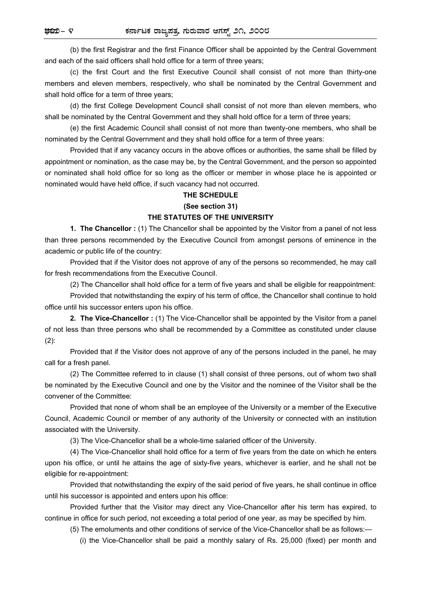(b) the first Registrar and the first Finance Officer shall be appointed by the Central Government and each of the said officers shall hold office for a term of three years;

 (c) the first Court and the first Executive Council shall consist of not more than thirty-one members and eleven members, respectively, who shall be nominated by the Central Government and shall hold office for a term of three years;

 (d) the first College Development Council shall consist of not more than eleven members, who shall be nominated by the Central Government and they shall hold office for a term of three years;

 (e) the first Academic Council shall consist of not more than twenty-one members, who shall be nominated by the Central Government and they shall hold office for a term of three years:

 Provided that if any vacancy occurs in the above offices or authorities, the same shall be filled by appointment or nomination, as the case may be, by the Central Government, and the person so appointed or nominated shall hold office for so long as the officer or member in whose place he is appointed or nominated would have held office, if such vacancy had not occurred.

### **THE SCHEDULE**

### **(See section 31)**

### **THE STATUTES OF THE UNIVERSITY**

**1. The Chancellor :** (1) The Chancellor shall be appointed by the Visitor from a panel of not less than three persons recommended by the Executive Council from amongst persons of eminence in the academic or public life of the country:

 Provided that if the Visitor does not approve of any of the persons so recommended, he may call for fresh recommendations from the Executive Council.

(2) The Chancellor shall hold office for a term of five years and shall be eligible for reappointment:

 Provided that notwithstanding the expiry of his term of office, the Chancellor shall continue to hold office until his successor enters upon his office.

 **2. The Vice-Chancellor :** (1) The Vice-Chancellor shall be appointed by the Visitor from a panel of not less than three persons who shall be recommended by a Committee as constituted under clause (2):

 Provided that if the Visitor does not approve of any of the persons included in the panel, he may call for a fresh panel.

 (2) The Committee referred to in clause (1) shall consist of three persons, out of whom two shall be nominated by the Executive Council and one by the Visitor and the nominee of the Visitor shall be the convener of the Committee:

 Provided that none of whom shall be an employee of the University or a member of the Executive Council, Academic Council or member of any authority of the University or connected with an institution associated with the University.

(3) The Vice-Chancellor shall be a whole-time salaried officer of the University.

 (4) The Vice-Chancellor shall hold office for a term of five years from the date on which he enters upon his office, or until he attains the age of sixty-five years, whichever is earlier, and he shall not be eligible for re-appointment:

 Provided that notwithstanding the expiry of the said period of five years, he shall continue in office until his successor is appointed and enters upon his office:

 Provided further that the Visitor may direct any Vice-Chancellor after his term has expired, to continue in office for such period, not exceeding a total period of one year, as may be specified by him.

(5) The emoluments and other conditions of service of the Vice-Chancellor shall be as follows:—

(i) the Vice-Chancellor shall be paid a monthly salary of Rs. 25,000 (fixed) per month and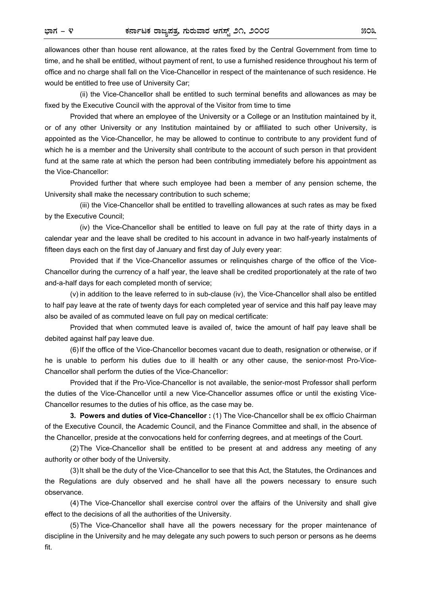allowances other than house rent allowance, at the rates fixed by the Central Government from time to time, and he shall be entitled, without payment of rent, to use a furnished residence throughout his term of office and no charge shall fall on the Vice-Chancellor in respect of the maintenance of such residence. He would be entitled to free use of University Car;

 (ii) the Vice-Chancellor shall be entitled to such terminal benefits and allowances as may be fixed by the Executive Council with the approval of the Visitor from time to time

 Provided that where an employee of the University or a College or an Institution maintained by it, or of any other University or any Institution maintained by or affiliated to such other University, is appointed as the Vice-Chancellor, he may be allowed to continue to contribute to any provident fund of which he is a member and the University shall contribute to the account of such person in that provident fund at the same rate at which the person had been contributing immediately before his appointment as the Vice-Chancellor:

 Provided further that where such employee had been a member of any pension scheme, the University shall make the necessary contribution to such scheme;

 (iii) the Vice-Chancellor shall be entitled to travelling allowances at such rates as may be fixed by the Executive Council;

 (iv) the Vice-Chancellor shall be entitled to leave on full pay at the rate of thirty days in a calendar year and the leave shall be credited to his account in advance in two half-yearly instalments of fifteen days each on the first day of January and first day of July every year:

 Provided that if the Vice-Chancellor assumes or relinquishes charge of the office of the Vice-Chancellor during the currency of a half year, the leave shall be credited proportionately at the rate of two and-a-half days for each completed month of service;

 (v) in addition to the leave referred to in sub-clause (iv), the Vice-Chancellor shall also be entitled to half pay leave at the rate of twenty days for each completed year of service and this half pay leave may also be availed of as commuted leave on full pay on medical certificate:

 Provided that when commuted leave is availed of, twice the amount of half pay leave shall be debited against half pay leave due.

 (6) If the office of the Vice-Chancellor becomes vacant due to death, resignation or otherwise, or if he is unable to perform his duties due to ill health or any other cause, the senior-most Pro-Vice-Chancellor shall perform the duties of the Vice-Chancellor:

 Provided that if the Pro-Vice-Chancellor is not available, the senior-most Professor shall perform the duties of the Vice-Chancellor until a new Vice-Chancellor assumes office or until the existing Vice-Chancellor resumes to the duties of his office, as the case may be.

 **3. Powers and duties of Vice-Chancellor :** (1) The Vice-Chancellor shall be ex officio Chairman of the Executive Council, the Academic Council, and the Finance Committee and shall, in the absence of the Chancellor, preside at the convocations held for conferring degrees, and at meetings of the Court.

 (2) The Vice-Chancellor shall be entitled to be present at and address any meeting of any authority or other body of the University.

 (3) It shall be the duty of the Vice-Chancellor to see that this Act, the Statutes, the Ordinances and the Regulations are duly observed and he shall have all the powers necessary to ensure such observance.

 (4) The Vice-Chancellor shall exercise control over the affairs of the University and shall give effect to the decisions of all the authorities of the University.

 (5) The Vice-Chancellor shall have all the powers necessary for the proper maintenance of discipline in the University and he may delegate any such powers to such person or persons as he deems fit.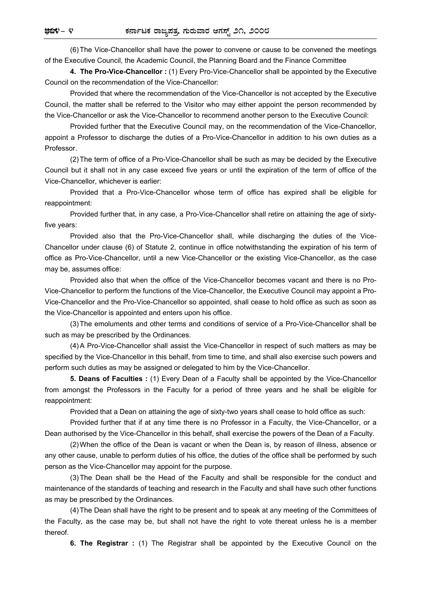(6) The Vice-Chancellor shall have the power to convene or cause to be convened the meetings of the Executive Council, the Academic Council, the Planning Board and the Finance Committee

 **4. The Pro-Vice-Chancellor :** (1) Every Pro-Vice-Chancellor shall be appointed by the Executive Council on the recommendation of the Vice-Chancellor:

 Provided that where the recommendation of the Vice-Chancellor is not accepted by the Executive Council, the matter shall be referred to the Visitor who may either appoint the person recommended by the Vice-Chancellor or ask the Vice-Chancellor to recommend another person to the Executive Council:

 Provided further that the Executive Council may, on the recommendation of the Vice-Chancellor, appoint a Professor to discharge the duties of a Pro-Vice-Chancellor in addition to his own duties as a Professor.

 (2) The term of office of a Pro-Vice-Chancellor shall be such as may be decided by the Executive Council but it shall not in any case exceed five years or until the expiration of the term of office of the Vice-Chancellor, whichever is earlier:

 Provided that a Pro-Vice-Chancellor whose term of office has expired shall be eligible for reappointment:

 Provided further that, in any case, a Pro-Vice-Chancellor shall retire on attaining the age of sixtyfive years:

 Provided also that the Pro-Vice-Chancellor shall, while discharging the duties of the Vice-Chancellor under clause (6) of Statute 2, continue in office notwithstanding the expiration of his term of office as Pro-Vice-Chancellor, until a new Vice-Chancellor or the existing Vice-Chancellor, as the case may be, assumes office:

 Provided also that when the office of the Vice-Chancellor becomes vacant and there is no Pro-Vice-Chancellor to perform the functions of the Vice-Chancellor, the Executive Council may appoint a Pro-Vice-Chancellor and the Pro-Vice-Chancellor so appointed, shall cease to hold office as such as soon as the Vice-Chancellor is appointed and enters upon his office.

 (3) The emoluments and other terms and conditions of service of a Pro-Vice-Chancellor shall be such as may be prescribed by the Ordinances.

 (4) A Pro-Vice-Chancellor shall assist the Vice-Chancellor in respect of such matters as may be specified by the Vice-Chancellor in this behalf, from time to time, and shall also exercise such powers and perform such duties as may be assigned or delegated to him by the Vice-Chancellor.

 **5. Deans of Faculties :** (1) Every Dean of a Faculty shall be appointed by the Vice-Chancellor from amongst the Professors in the Faculty for a period of three years and he shall be eligible for reappointment:

Provided that a Dean on attaining the age of sixty-two years shall cease to hold office as such:

 Provided further that if at any time there is no Professor in a Faculty, the Vice-Chancellor, or a Dean authorised by the Vice-Chancellor in this behalf, shall exercise the powers of the Dean of a Faculty.

 (2) When the office of the Dean is vacant or when the Dean is, by reason of illness, absence or any other cause, unable to perform duties of his office, the duties of the office shall be performed by such person as the Vice-Chancellor may appoint for the purpose.

 (3) The Dean shall be the Head of the Faculty and shall be responsible for the conduct and maintenance of the standards of teaching and research in the Faculty and shall have such other functions as may be prescribed by the Ordinances.

 (4) The Dean shall have the right to be present and to speak at any meeting of the Committees of the Faculty, as the case may be, but shall not have the right to vote thereat unless he is a member thereof.

 **6. The Registrar :** (1) The Registrar shall be appointed by the Executive Council on the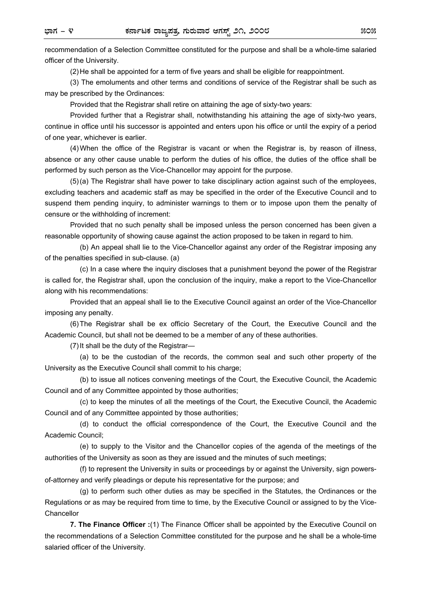recommendation of a Selection Committee constituted for the purpose and shall be a whole-time salaried officer of the University.

(2) He shall be appointed for a term of five years and shall be eligible for reappointment.

 (3) The emoluments and other terms and conditions of service of the Registrar shall be such as may be prescribed by the Ordinances:

Provided that the Registrar shall retire on attaining the age of sixty-two years:

 Provided further that a Registrar shall, notwithstanding his attaining the age of sixty-two years, continue in office until his successor is appointed and enters upon his office or until the expiry of a period of one year, whichever is earlier.

 (4) When the office of the Registrar is vacant or when the Registrar is, by reason of illness, absence or any other cause unable to perform the duties of his office, the duties of the office shall be performed by such person as the Vice-Chancellor may appoint for the purpose.

 (5) (a) The Registrar shall have power to take disciplinary action against such of the employees, excluding teachers and academic staff as may be specified in the order of the Executive Council and to suspend them pending inquiry, to administer warnings to them or to impose upon them the penalty of censure or the withholding of increment:

 Provided that no such penalty shall be imposed unless the person concerned has been given a reasonable opportunity of showing cause against the action proposed to be taken in regard to him.

 (b) An appeal shall lie to the Vice-Chancellor against any order of the Registrar imposing any of the penalties specified in sub-clause. (a)

 (c) In a case where the inquiry discloses that a punishment beyond the power of the Registrar is called for, the Registrar shall, upon the conclusion of the inquiry, make a report to the Vice-Chancellor along with his recommendations:

 Provided that an appeal shall lie to the Executive Council against an order of the Vice-Chancellor imposing any penalty.

 (6) The Registrar shall be ex officio Secretary of the Court, the Executive Council and the Academic Council, but shall not be deemed to be a member of any of these authorities.

(7) It shall be the duty of the Registrar—

 (a) to be the custodian of the records, the common seal and such other property of the University as the Executive Council shall commit to his charge;

 (b) to issue all notices convening meetings of the Court, the Executive Council, the Academic Council and of any Committee appointed by those authorities;

 (c) to keep the minutes of all the meetings of the Court, the Executive Council, the Academic Council and of any Committee appointed by those authorities;

 (d) to conduct the official correspondence of the Court, the Executive Council and the Academic Council;

 (e) to supply to the Visitor and the Chancellor copies of the agenda of the meetings of the authorities of the University as soon as they are issued and the minutes of such meetings;

 (f) to represent the University in suits or proceedings by or against the University, sign powersof-attorney and verify pleadings or depute his representative for the purpose; and

 (g) to perform such other duties as may be specified in the Statutes, the Ordinances or the Regulations or as may be required from time to time, by the Executive Council or assigned to by the Vice-**Chancellor** 

 **7. The Finance Officer :**(1) The Finance Officer shall be appointed by the Executive Council on the recommendations of a Selection Committee constituted for the purpose and he shall be a whole-time salaried officer of the University.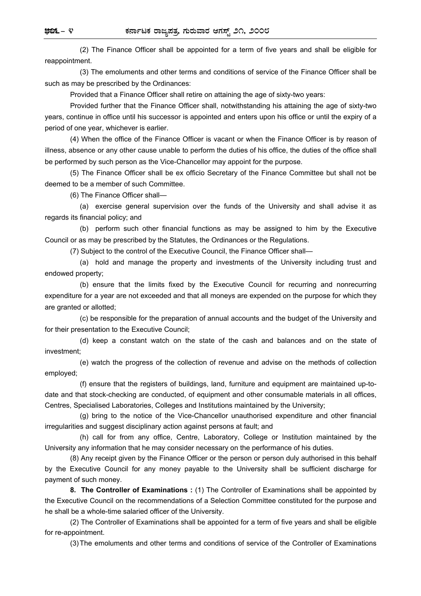(2) The Finance Officer shall be appointed for a term of five years and shall be eligible for reappointment.

 (3) The emoluments and other terms and conditions of service of the Finance Officer shall be such as may be prescribed by the Ordinances:

Provided that a Finance Officer shall retire on attaining the age of sixty-two years:

 Provided further that the Finance Officer shall, notwithstanding his attaining the age of sixty-two years, continue in office until his successor is appointed and enters upon his office or until the expiry of a period of one year, whichever is earlier.

 (4) When the office of the Finance Officer is vacant or when the Finance Officer is by reason of illness, absence or any other cause unable to perform the duties of his office, the duties of the office shall be performed by such person as the Vice-Chancellor may appoint for the purpose.

 (5) The Finance Officer shall be ex officio Secretary of the Finance Committee but shall not be deemed to be a member of such Committee.

(6) The Finance Officer shall—

 (a) exercise general supervision over the funds of the University and shall advise it as regards its financial policy; and

 (b) perform such other financial functions as may be assigned to him by the Executive Council or as may be prescribed by the Statutes, the Ordinances or the Regulations.

(7) Subject to the control of the Executive Council, the Finance Officer shall—

 (a) hold and manage the property and investments of the University including trust and endowed property;

 (b) ensure that the limits fixed by the Executive Council for recurring and nonrecurring expenditure for a year are not exceeded and that all moneys are expended on the purpose for which they are granted or allotted;

 (c) be responsible for the preparation of annual accounts and the budget of the University and for their presentation to the Executive Council;

 (d) keep a constant watch on the state of the cash and balances and on the state of investment;

 (e) watch the progress of the collection of revenue and advise on the methods of collection employed;

 (f) ensure that the registers of buildings, land, furniture and equipment are maintained up-todate and that stock-checking are conducted, of equipment and other consumable materials in all offices, Centres, Specialised Laboratories, Colleges and Institutions maintained by the University;

 (g) bring to the notice of the Vice-Chancellor unauthorised expenditure and other financial irregularities and suggest disciplinary action against persons at fault; and

 (h) call for from any office, Centre, Laboratory, College or Institution maintained by the University any information that he may consider necessary on the performance of his duties.

 (8) Any receipt given by the Finance Officer or the person or person duly authorised in this behalf by the Executive Council for any money payable to the University shall be sufficient discharge for payment of such money.

 **8. The Controller of Examinations :** (1) The Controller of Examinations shall be appointed by the Executive Council on the recommendations of a Selection Committee constituted for the purpose and he shall be a whole-time salaried officer of the University.

 (2) The Controller of Examinations shall be appointed for a term of five years and shall be eligible for re-appointment.

(3) The emoluments and other terms and conditions of service of the Controller of Examinations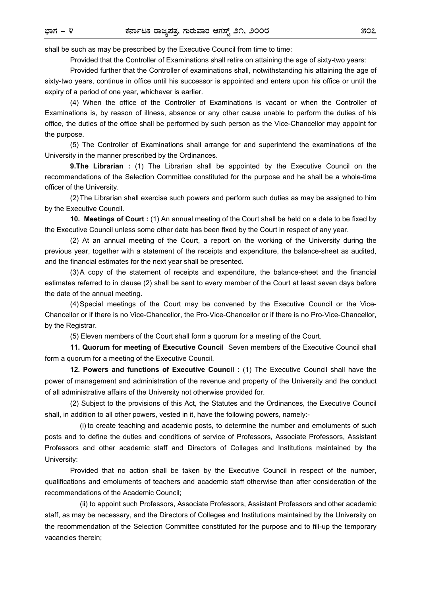shall be such as may be prescribed by the Executive Council from time to time:

Provided that the Controller of Examinations shall retire on attaining the age of sixty-two years:

 Provided further that the Controller of examinations shall, notwithstanding his attaining the age of sixty-two years, continue in office until his successor is appointed and enters upon his office or until the expiry of a period of one year, whichever is earlier.

 (4) When the office of the Controller of Examinations is vacant or when the Controller of Examinations is, by reason of illness, absence or any other cause unable to perform the duties of his office, the duties of the office shall be performed by such person as the Vice-Chancellor may appoint for the purpose.

 (5) The Controller of Examinations shall arrange for and superintend the examinations of the University in the manner prescribed by the Ordinances.

 **9.The Librarian :** (1) The Librarian shall be appointed by the Executive Council on the recommendations of the Selection Committee constituted for the purpose and he shall be a whole-time officer of the University.

 (2) The Librarian shall exercise such powers and perform such duties as may be assigned to him by the Executive Council.

 **10. Meetings of Court :** (1) An annual meeting of the Court shall be held on a date to be fixed by the Executive Council unless some other date has been fixed by the Court in respect of any year.

 (2) At an annual meeting of the Court, a report on the working of the University during the previous year, together with a statement of the receipts and expenditure, the balance-sheet as audited, and the financial estimates for the next year shall be presented.

 (3) A copy of the statement of receipts and expenditure, the balance-sheet and the financial estimates referred to in clause (2) shall be sent to every member of the Court at least seven days before the date of the annual meeting.

 (4) Special meetings of the Court may be convened by the Executive Council or the Vice-Chancellor or if there is no Vice-Chancellor, the Pro-Vice-Chancellor or if there is no Pro-Vice-Chancellor, by the Registrar.

(5) Eleven members of the Court shall form a quorum for a meeting of the Court.

**11. Quorum for meeting of Executive Council** Seven members of the Executive Council shall form a quorum for a meeting of the Executive Council.

 **12. Powers and functions of Executive Council :** (1) The Executive Council shall have the power of management and administration of the revenue and property of the University and the conduct of all administrative affairs of the University not otherwise provided for.

 (2) Subject to the provisions of this Act, the Statutes and the Ordinances, the Executive Council shall, in addition to all other powers, vested in it, have the following powers, namely:-

 (i) to create teaching and academic posts, to determine the number and emoluments of such posts and to define the duties and conditions of service of Professors, Associate Professors, Assistant Professors and other academic staff and Directors of Colleges and Institutions maintained by the University:

 Provided that no action shall be taken by the Executive Council in respect of the number, qualifications and emoluments of teachers and academic staff otherwise than after consideration of the recommendations of the Academic Council;

 (ii) to appoint such Professors, Associate Professors, Assistant Professors and other academic staff, as may be necessary, and the Directors of Colleges and Institutions maintained by the University on the recommendation of the Selection Committee constituted for the purpose and to fill-up the temporary vacancies therein;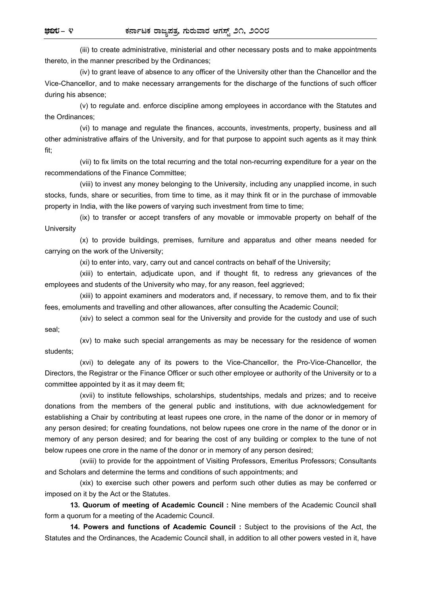(iii) to create administrative, ministerial and other necessary posts and to make appointments thereto, in the manner prescribed by the Ordinances;

 (iv) to grant leave of absence to any officer of the University other than the Chancellor and the Vice-Chancellor, and to make necessary arrangements for the discharge of the functions of such officer during his absence;

 (v) to regulate and. enforce discipline among employees in accordance with the Statutes and the Ordinances;

 (vi) to manage and regulate the finances, accounts, investments, property, business and all other administrative affairs of the University, and for that purpose to appoint such agents as it may think fit;

 (vii) to fix limits on the total recurring and the total non-recurring expenditure for a year on the recommendations of the Finance Committee;

 (viii) to invest any money belonging to the University, including any unapplied income, in such stocks, funds, share or securities, from time to time, as it may think fit or in the purchase of immovable property in India, with the like powers of varying such investment from time to time;

 (ix) to transfer or accept transfers of any movable or immovable property on behalf of the **University** 

 (x) to provide buildings, premises, furniture and apparatus and other means needed for carrying on the work of the University;

(xi) to enter into, vary, carry out and cancel contracts on behalf of the University;

 (xiii) to entertain, adjudicate upon, and if thought fit, to redress any grievances of the employees and students of the University who may, for any reason, feel aggrieved;

 (xiii) to appoint examiners and moderators and, if necessary, to remove them, and to fix their fees, emoluments and travelling and other allowances, after consulting the Academic Council;

 (xiv) to select a common seal for the University and provide for the custody and use of such seal;

 (xv) to make such special arrangements as may be necessary for the residence of women students;

 (xvi) to delegate any of its powers to the Vice-Chancellor, the Pro-Vice-Chancellor, the Directors, the Registrar or the Finance Officer or such other employee or authority of the University or to a committee appointed by it as it may deem fit;

 (xvii) to institute fellowships, scholarships, studentships, medals and prizes; and to receive donations from the members of the general public and institutions, with due acknowledgement for establishing a Chair by contributing at least rupees one crore, in the name of the donor or in memory of any person desired; for creating foundations, not below rupees one crore in the name of the donor or in memory of any person desired; and for bearing the cost of any building or complex to the tune of not below rupees one crore in the name of the donor or in memory of any person desired;

 (xviii) to provide for the appointment of Visiting Professors, Emeritus Professors; Consultants and Scholars and determine the terms and conditions of such appointments; and

 (xix) to exercise such other powers and perform such other duties as may be conferred or imposed on it by the Act or the Statutes.

 **13. Quorum of meeting of Academic Council :** Nine members of the Academic Council shall form a quorum for a meeting of the Academic Council.

 **14. Powers and functions of Academic Council :** Subject to the provisions of the Act, the Statutes and the Ordinances, the Academic Council shall, in addition to all other powers vested in it, have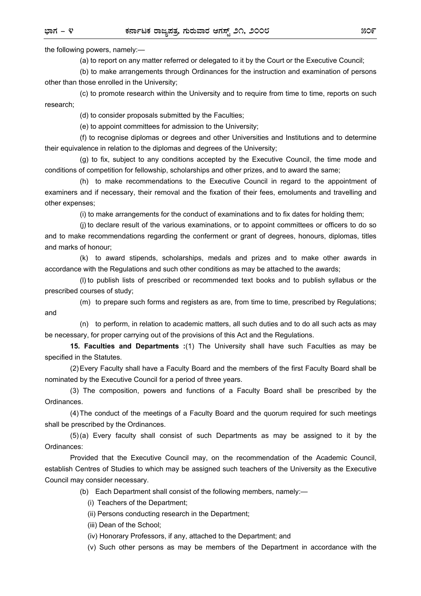the following powers, namely:—

(a) to report on any matter referred or delegated to it by the Court or the Executive Council;

 (b) to make arrangements through Ordinances for the instruction and examination of persons other than those enrolled in the University;

 (c) to promote research within the University and to require from time to time, reports on such research;

(d) to consider proposals submitted by the Faculties;

(e) to appoint committees for admission to the University;

 (f) to recognise diplomas or degrees and other Universities and Institutions and to determine their equivalence in relation to the diplomas and degrees of the University;

 (g) to fix, subject to any conditions accepted by the Executive Council, the time mode and conditions of competition for fellowship, scholarships and other prizes, and to award the same;

 (h) to make recommendations to the Executive Council in regard to the appointment of examiners and if necessary, their removal and the fixation of their fees, emoluments and travelling and other expenses;

(i) to make arrangements for the conduct of examinations and to fix dates for holding them;

 (j) to declare result of the various examinations, or to appoint committees or officers to do so and to make recommendations regarding the conferment or grant of degrees, honours, diplomas, titles and marks of honour;

 (k) to award stipends, scholarships, medals and prizes and to make other awards in accordance with the Regulations and such other conditions as may be attached to the awards;

 (l) to publish lists of prescribed or recommended text books and to publish syllabus or the prescribed courses of study;

 (m) to prepare such forms and registers as are, from time to time, prescribed by Regulations; and

 (n) to perform, in relation to academic matters, all such duties and to do all such acts as may be necessary, for proper carrying out of the provisions of this Act and the Regulations.

 **15. Faculties and Departments :**(1) The University shall have such Faculties as may be specified in the Statutes.

 (2) Every Faculty shall have a Faculty Board and the members of the first Faculty Board shall be nominated by the Executive Council for a period of three years.

 (3) The composition, powers and functions of a Faculty Board shall be prescribed by the Ordinances.

 (4) The conduct of the meetings of a Faculty Board and the quorum required for such meetings shall be prescribed by the Ordinances.

 (5) (a) Every faculty shall consist of such Departments as may be assigned to it by the Ordinances:

 Provided that the Executive Council may, on the recommendation of the Academic Council, establish Centres of Studies to which may be assigned such teachers of the University as the Executive Council may consider necessary.

(b) Each Department shall consist of the following members, namely:—

(i) Teachers of the Department;

(ii) Persons conducting research in the Department;

(iii) Dean of the School;

(iv) Honorary Professors, if any, attached to the Department; and

(v) Such other persons as may be members of the Department in accordance with the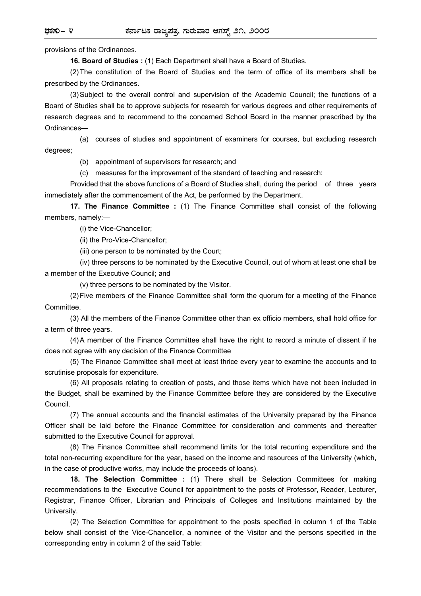provisions of the Ordinances.

**16. Board of Studies :** (1) Each Department shall have a Board of Studies.

 (2) The constitution of the Board of Studies and the term of office of its members shall be prescribed by the Ordinances.

 (3) Subject to the overall control and supervision of the Academic Council; the functions of a Board of Studies shall be to approve subjects for research for various degrees and other requirements of research degrees and to recommend to the concerned School Board in the manner prescribed by the Ordinances—

 (a) courses of studies and appointment of examiners for courses, but excluding research degrees;

(b) appointment of supervisors for research; and

(c) measures for the improvement of the standard of teaching and research:

 Provided that the above functions of a Board of Studies shall, during the period of three years immediately after the commencement of the Act, be performed by the Department.

 **17. The Finance Committee :** (1) The Finance Committee shall consist of the following members, namely:—

(i) the Vice-Chancellor;

(ii) the Pro-Vice-Chancellor;

(iii) one person to be nominated by the Court;

 (iv) three persons to be nominated by the Executive Council, out of whom at least one shall be a member of the Executive Council; and

(v) three persons to be nominated by the Visitor.

 (2) Five members of the Finance Committee shall form the quorum for a meeting of the Finance Committee.

 (3) All the members of the Finance Committee other than ex officio members, shall hold office for a term of three years.

 (4) A member of the Finance Committee shall have the right to record a minute of dissent if he does not agree with any decision of the Finance Committee

 (5) The Finance Committee shall meet at least thrice every year to examine the accounts and to scrutinise proposals for expenditure.

 (6) All proposals relating to creation of posts, and those items which have not been included in the Budget, shall be examined by the Finance Committee before they are considered by the Executive Council.

 (7) The annual accounts and the financial estimates of the University prepared by the Finance Officer shall be laid before the Finance Committee for consideration and comments and thereafter submitted to the Executive Council for approval.

 (8) The Finance Committee shall recommend limits for the total recurring expenditure and the total non-recurring expenditure for the year, based on the income and resources of the University (which, in the case of productive works, may include the proceeds of loans).

 **18. The Selection Committee :** (1) There shall be Selection Committees for making recommendations to the Executive Council for appointment to the posts of Professor, Reader, Lecturer, Registrar, Finance Officer, Librarian and Principals of Colleges and Institutions maintained by the University.

 (2) The Selection Committee for appointment to the posts specified in column 1 of the Table below shall consist of the Vice-Chancellor, a nominee of the Visitor and the persons specified in the corresponding entry in column 2 of the said Table: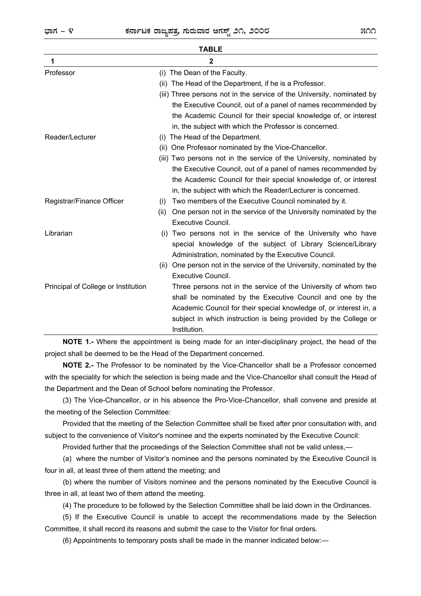| <b>TABLE</b>                        |                                                                           |
|-------------------------------------|---------------------------------------------------------------------------|
| 1                                   | 2                                                                         |
| Professor                           | (i) The Dean of the Faculty.                                              |
|                                     | The Head of the Department, if he is a Professor.<br>(ii)                 |
|                                     | (iii) Three persons not in the service of the University, nominated by    |
|                                     | the Executive Council, out of a panel of names recommended by             |
|                                     | the Academic Council for their special knowledge of, or interest          |
|                                     | in, the subject with which the Professor is concerned.                    |
| Reader/Lecturer                     | The Head of the Department.<br>(i)                                        |
|                                     | (ii) One Professor nominated by the Vice-Chancellor.                      |
|                                     | (iii) Two persons not in the service of the University, nominated by      |
|                                     | the Executive Council, out of a panel of names recommended by             |
|                                     | the Academic Council for their special knowledge of, or interest          |
|                                     | in, the subject with which the Reader/Lecturer is concerned.              |
| Registrar/Finance Officer           | Two members of the Executive Council nominated by it.<br>(i)              |
|                                     | One person not in the service of the University nominated by the<br>(ii)  |
|                                     | Executive Council.                                                        |
| Librarian                           | Two persons not in the service of the University who have<br>(i)          |
|                                     | special knowledge of the subject of Library Science/Library               |
|                                     | Administration, nominated by the Executive Council.                       |
|                                     | One person not in the service of the University, nominated by the<br>(ii) |
|                                     | Executive Council.                                                        |
| Principal of College or Institution | Three persons not in the service of the University of whom two            |
|                                     | shall be nominated by the Executive Council and one by the                |
|                                     | Academic Council for their special knowledge of, or interest in, a        |
|                                     | subject in which instruction is being provided by the College or          |
|                                     | Institution.                                                              |

**NOTE 1.-** Where the appointment is being made for an inter-disciplinary project, the head of the project shall be deemed to be the Head of the Department concerned.

**NOTE 2.-** The Professor to be nominated by the Vice-Chancellor shall be a Professor concerned with the speciality for which the selection is being made and the Vice-Chancellor shall consult the Head of the Department and the Dean of School before nominating the Professor.

(3) The Vice-Chancellor, or in his absence the Pro-Vice-Chancellor, shall convene and preside at the meeting of the Selection Committee:

Provided that the meeting of the Selection Committee shall be fixed after prior consultation with, and subject to the convenience of Visitor's nominee and the experts nominated by the Executive Council:

Provided further that the proceedings of the Selection Committee shall not be valid unless,—

 (a) where the number of Visitor's nominee and the persons nominated by the Executive Council is four in all, at least three of them attend the meeting; and

 (b) where the number of Visitors nominee and the persons nominated by the Executive Council is three in all, at least two of them attend the meeting.

(4) The procedure to be followed by the Selection Committee shall be laid down in the Ordinances.

(5) If the Executive Council is unable to accept the recommendations made by the Selection Committee, it shall record its reasons and submit the case to the Visitor for final orders.

(6) Appointments to temporary posts shall be made in the manner indicated below:—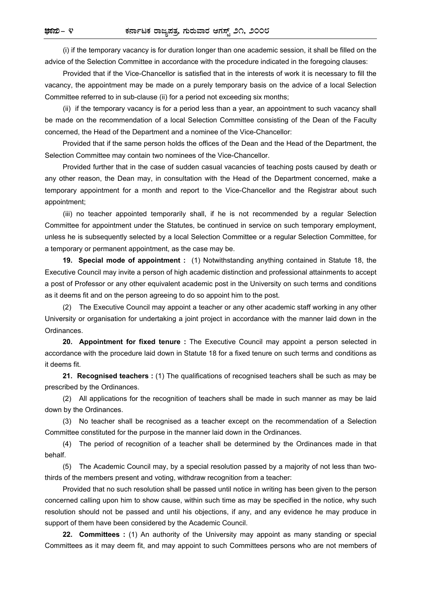(i) if the temporary vacancy is for duration longer than one academic session, it shall be filled on the advice of the Selection Committee in accordance with the procedure indicated in the foregoing clauses:

 Provided that if the Vice-Chancellor is satisfied that in the interests of work it is necessary to fill the vacancy, the appointment may be made on a purely temporary basis on the advice of a local Selection Committee referred to in sub-clause (ii) for a period not exceeding six months;

 (ii) if the temporary vacancy is for a period less than a year, an appointment to such vacancy shall be made on the recommendation of a local Selection Committee consisting of the Dean of the Faculty concerned, the Head of the Department and a nominee of the Vice-Chancellor:

Provided that if the same person holds the offices of the Dean and the Head of the Department, the Selection Committee may contain two nominees of the Vice-Chancellor.

Provided further that in the case of sudden casual vacancies of teaching posts caused by death or any other reason, the Dean may, in consultation with the Head of the Department concerned, make a temporary appointment for a month and report to the Vice-Chancellor and the Registrar about such appointment;

 (iii) no teacher appointed temporarily shall, if he is not recommended by a regular Selection Committee for appointment under the Statutes, be continued in service on such temporary employment, unless he is subsequently selected by a local Selection Committee or a regular Selection Committee, for a temporary or permanent appointment, as the case may be.

**19. Special mode of appointment :** (1) Notwithstanding anything contained in Statute 18, the Executive Council may invite a person of high academic distinction and professional attainments to accept a post of Professor or any other equivalent academic post in the University on such terms and conditions as it deems fit and on the person agreeing to do so appoint him to the post.

(2) The Executive Council may appoint a teacher or any other academic staff working in any other University or organisation for undertaking a joint project in accordance with the manner laid down in the Ordinances.

**20. Appointment for fixed tenure :** The Executive Council may appoint a person selected in accordance with the procedure laid down in Statute 18 for a fixed tenure on such terms and conditions as it deems fit.

**21. Recognised teachers :** (1) The qualifications of recognised teachers shall be such as may be prescribed by the Ordinances.

(2) All applications for the recognition of teachers shall be made in such manner as may be laid down by the Ordinances.

(3) No teacher shall be recognised as a teacher except on the recommendation of a Selection Committee constituted for the purpose in the manner laid down in the Ordinances.

(4) The period of recognition of a teacher shall be determined by the Ordinances made in that behalf.

(5) The Academic Council may, by a special resolution passed by a majority of not less than twothirds of the members present and voting, withdraw recognition from a teacher:

Provided that no such resolution shall be passed until notice in writing has been given to the person concerned calling upon him to show cause, within such time as may be specified in the notice, why such resolution should not be passed and until his objections, if any, and any evidence he may produce in support of them have been considered by the Academic Council.

**22. Committees :** (1) An authority of the University may appoint as many standing or special Committees as it may deem fit, and may appoint to such Committees persons who are not members of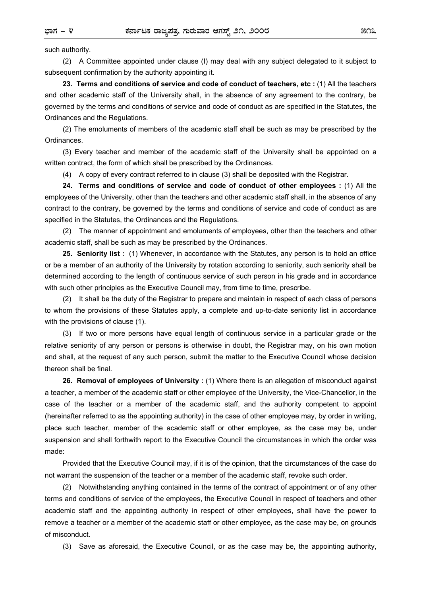such authority.

(2) A Committee appointed under clause (I) may deal with any subject delegated to it subject to subsequent confirmation by the authority appointing it.

**23. Terms and conditions of service and code of conduct of teachers, etc :** (1) All the teachers and other academic staff of the University shall, in the absence of any agreement to the contrary, be governed by the terms and conditions of service and code of conduct as are specified in the Statutes, the Ordinances and the Regulations.

(2) The emoluments of members of the academic staff shall be such as may be prescribed by the Ordinances.

(3) Every teacher and member of the academic staff of the University shall be appointed on a written contract, the form of which shall be prescribed by the Ordinances.

(4) A copy of every contract referred to in clause (3) shall be deposited with the Registrar.

**24. Terms and conditions of service and code of conduct of other employees :** (1) All the employees of the University, other than the teachers and other academic staff shall, in the absence of any contract to the contrary, be governed by the terms and conditions of service and code of conduct as are specified in the Statutes, the Ordinances and the Regulations.

(2) The manner of appointment and emoluments of employees, other than the teachers and other academic staff, shall be such as may be prescribed by the Ordinances.

**25. Seniority list :** (1) Whenever, in accordance with the Statutes, any person is to hold an office or be a member of an authority of the University by rotation according to seniority, such seniority shall be determined according to the length of continuous service of such person in his grade and in accordance with such other principles as the Executive Council may, from time to time, prescribe.

(2) It shall be the duty of the Registrar to prepare and maintain in respect of each class of persons to whom the provisions of these Statutes apply, a complete and up-to-date seniority list in accordance with the provisions of clause (1).

(3) If two or more persons have equal length of continuous service in a particular grade or the relative seniority of any person or persons is otherwise in doubt, the Registrar may, on his own motion and shall, at the request of any such person, submit the matter to the Executive Council whose decision thereon shall be final.

**26. Removal of employees of University :** (1) Where there is an allegation of misconduct against a teacher, a member of the academic staff or other employee of the University, the Vice-Chancellor, in the case of the teacher or a member of the academic staff, and the authority competent to appoint (hereinafter referred to as the appointing authority) in the case of other employee may, by order in writing, place such teacher, member of the academic staff or other employee, as the case may be, under suspension and shall forthwith report to the Executive Council the circumstances in which the order was made:

Provided that the Executive Council may, if it is of the opinion, that the circumstances of the case do not warrant the suspension of the teacher or a member of the academic staff, revoke such order.

(2) Notwithstanding anything contained in the terms of the contract of appointment or of any other terms and conditions of service of the employees, the Executive Council in respect of teachers and other academic staff and the appointing authority in respect of other employees, shall have the power to remove a teacher or a member of the academic staff or other employee, as the case may be, on grounds of misconduct.

(3) Save as aforesaid, the Executive Council, or as the case may be, the appointing authority,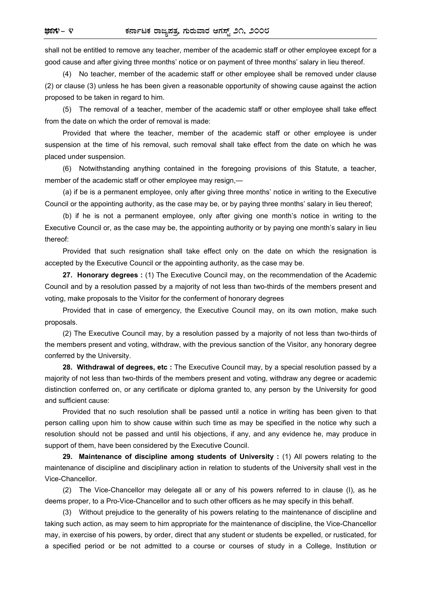shall not be entitled to remove any teacher, member of the academic staff or other employee except for a good cause and after giving three months' notice or on payment of three months' salary in lieu thereof.

(4) No teacher, member of the academic staff or other employee shall be removed under clause (2) or clause (3) unless he has been given a reasonable opportunity of showing cause against the action proposed to be taken in regard to him.

(5) The removal of a teacher, member of the academic staff or other employee shall take effect from the date on which the order of removal is made:

Provided that where the teacher, member of the academic staff or other employee is under suspension at the time of his removal, such removal shall take effect from the date on which he was placed under suspension.

(6) Notwithstanding anything contained in the foregoing provisions of this Statute, a teacher, member of the academic staff or other employee may resign,—

 (a) if be is a permanent employee, only after giving three months' notice in writing to the Executive Council or the appointing authority, as the case may be, or by paying three months' salary in lieu thereof;

 (b) if he is not a permanent employee, only after giving one month's notice in writing to the Executive Council or, as the case may be, the appointing authority or by paying one month's salary in lieu thereof:

Provided that such resignation shall take effect only on the date on which the resignation is accepted by the Executive Council or the appointing authority, as the case may be.

**27. Honorary degrees :** (1) The Executive Council may, on the recommendation of the Academic Council and by a resolution passed by a majority of not less than two-thirds of the members present and voting, make proposals to the Visitor for the conferment of honorary degrees

Provided that in case of emergency, the Executive Council may, on its own motion, make such proposals.

(2) The Executive Council may, by a resolution passed by a majority of not less than two-thirds of the members present and voting, withdraw, with the previous sanction of the Visitor, any honorary degree conferred by the University.

**28. Withdrawal of degrees, etc :** The Executive Council may, by a special resolution passed by a majority of not less than two-thirds of the members present and voting, withdraw any degree or academic distinction conferred on, or any certificate or diploma granted to, any person by the University for good and sufficient cause:

Provided that no such resolution shall be passed until a notice in writing has been given to that person calling upon him to show cause within such time as may be specified in the notice why such a resolution should not be passed and until his objections, if any, and any evidence he, may produce in support of them, have been considered by the Executive Council.

**29. Maintenance of discipline among students of University :** (1) All powers relating to the maintenance of discipline and disciplinary action in relation to students of the University shall vest in the Vice-Chancellor.

(2) The Vice-Chancellor may delegate all or any of his powers referred to in clause (I), as he deems proper, to a Pro-Vice-Chancellor and to such other officers as he may specify in this behalf.

(3) Without prejudice to the generality of his powers relating to the maintenance of discipline and taking such action, as may seem to him appropriate for the maintenance of discipline, the Vice-Chancellor may, in exercise of his powers, by order, direct that any student or students be expelled, or rusticated, for a specified period or be not admitted to a course or courses of study in a College, Institution or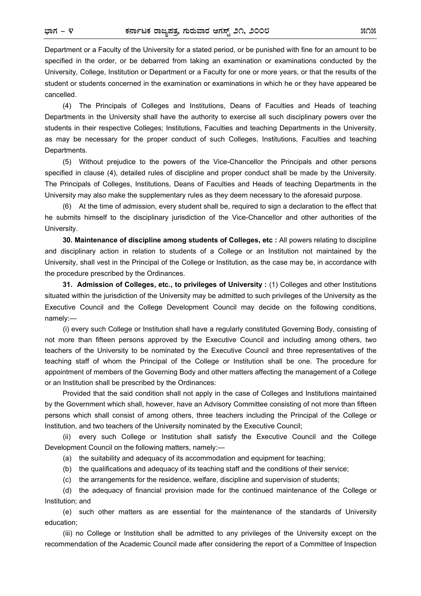Department or a Faculty of the University for a stated period, or be punished with fine for an amount to be specified in the order, or be debarred from taking an examination or examinations conducted by the University, College, Institution or Department or a Faculty for one or more years, or that the results of the student or students concerned in the examination or examinations in which he or they have appeared be cancelled.

(4) The Principals of Colleges and Institutions, Deans of Faculties and Heads of teaching Departments in the University shall have the authority to exercise all such disciplinary powers over the students in their respective Colleges; Institutions, Faculties and teaching Departments in the University, as may be necessary for the proper conduct of such Colleges, Institutions, Faculties and teaching Departments.

(5) Without prejudice to the powers of the Vice-Chancellor the Principals and other persons specified in clause (4), detailed rules of discipline and proper conduct shall be made by the University. The Principals of Colleges, Institutions, Deans of Faculties and Heads of teaching Departments in the University may also make the supplementary rules as they deem necessary to the aforesaid purpose.

(6) At the time of admission, every student shall be, required to sign a declaration to the effect that he submits himself to the disciplinary jurisdiction of the Vice-Chancellor and other authorities of the University.

**30. Maintenance of discipline among students of Colleges, etc :** All powers relating to discipline and disciplinary action in relation to students of a College or an Institution not maintained by the University, shall vest in the Principal of the College or Institution, as the case may be, in accordance with the procedure prescribed by the Ordinances.

**31. Admission of Colleges, etc., to privileges of University :** (1) Colleges and other Institutions situated within the jurisdiction of the University may be admitted to such privileges of the University as the Executive Council and the College Development Council may decide on the following conditions, namely:—

 (i) every such College or Institution shall have a regularly constituted Governing Body, consisting of not more than fifteen persons approved by the Executive Council and including among others, two teachers of the University to be nominated by the Executive Council and three representatives of the teaching staff of whom the Principal of the College or Institution shall be one. The procedure for appointment of members of the Governing Body and other matters affecting the management of a College or an Institution shall be prescribed by the Ordinances:

Provided that the said condition shall not apply in the case of Colleges and Institutions maintained by the Government which shall, however, have an Advisory Committee consisting of not more than fifteen persons which shall consist of among others, three teachers including the Principal of the College or Institution, and two teachers of the University nominated by the Executive Council;

 (ii) every such College or Institution shall satisfy the Executive Council and the College Development Council on the following matters, namely:—

(a) the suitability and adequacy of its accommodation and equipment for teaching;

(b) the qualifications and adequacy of its teaching staff and the conditions of their service;

(c) the arrangements for the residence, welfare, discipline and supervision of students;

 (d) the adequacy of financial provision made for the continued maintenance of the College or Institution; and

 (e) such other matters as are essential for the maintenance of the standards of University education;

 (iii) no College or Institution shall be admitted to any privileges of the University except on the recommendation of the Academic Council made after considering the report of a Committee of Inspection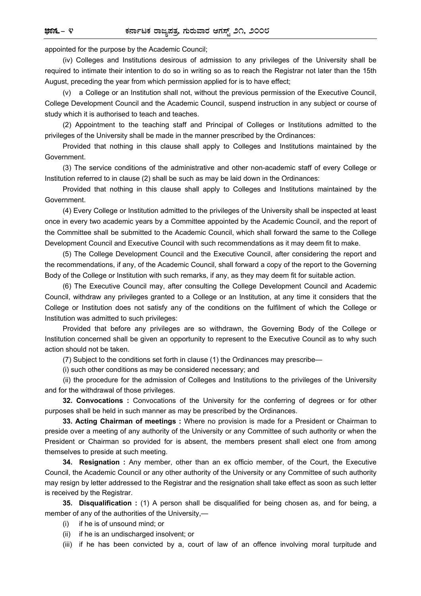appointed for the purpose by the Academic Council;

(iv) Colleges and Institutions desirous of admission to any privileges of the University shall be required to intimate their intention to do so in writing so as to reach the Registrar not later than the 15th August, preceding the year from which permission applied for is to have effect;

(v) a College or an Institution shall not, without the previous permission of the Executive Council, College Development Council and the Academic Council, suspend instruction in any subject or course of study which it is authorised to teach and teaches.

(2) Appointment to the teaching staff and Principal of Colleges or Institutions admitted to the privileges of the University shall be made in the manner prescribed by the Ordinances:

Provided that nothing in this clause shall apply to Colleges and Institutions maintained by the Government.

(3) The service conditions of the administrative and other non-academic staff of every College or Institution referred to in clause (2) shall be such as may be laid down in the Ordinances:

Provided that nothing in this clause shall apply to Colleges and Institutions maintained by the Government.

(4) Every College or Institution admitted to the privileges of the University shall be inspected at least once in every two academic years by a Committee appointed by the Academic Council, and the report of the Committee shall be submitted to the Academic Council, which shall forward the same to the College Development Council and Executive Council with such recommendations as it may deem fit to make.

(5) The College Development Council and the Executive Council, after considering the report and the recommendations, if any, of the Academic Council, shall forward a copy of the report to the Governing Body of the College or Institution with such remarks, if any, as they may deem fit for suitable action.

(6) The Executive Council may, after consulting the College Development Council and Academic Council, withdraw any privileges granted to a College or an Institution, at any time it considers that the College or Institution does not satisfy any of the conditions on the fulfilment of which the College or Institution was admitted to such privileges:

Provided that before any privileges are so withdrawn, the Governing Body of the College or Institution concerned shall be given an opportunity to represent to the Executive Council as to why such action should not be taken.

(7) Subject to the conditions set forth in clause (1) the Ordinances may prescribe—

(i) such other conditions as may be considered necessary; and

 (ii) the procedure for the admission of Colleges and Institutions to the privileges of the University and for the withdrawal of those privileges.

**32. Convocations :** Convocations of the University for the conferring of degrees or for other purposes shall be held in such manner as may be prescribed by the Ordinances.

**33. Acting Chairman of meetings :** Where no provision is made for a President or Chairman to preside over a meeting of any authority of the University or any Committee of such authority or when the President or Chairman so provided for is absent, the members present shall elect one from among themselves to preside at such meeting.

**34. Resignation :** Any member, other than an ex officio member, of the Court, the Executive Council, the Academic Council or any other authority of the University or any Committee of such authority may resign by letter addressed to the Registrar and the resignation shall take effect as soon as such letter is received by the Registrar.

**35. Disqualification :** (1) A person shall be disqualified for being chosen as, and for being, a member of any of the authorities of the University,—

- (i) if he is of unsound mind; or
- (ii) if he is an undischarged insolvent; or

(iii) if he has been convicted by a, court of law of an offence involving moral turpitude and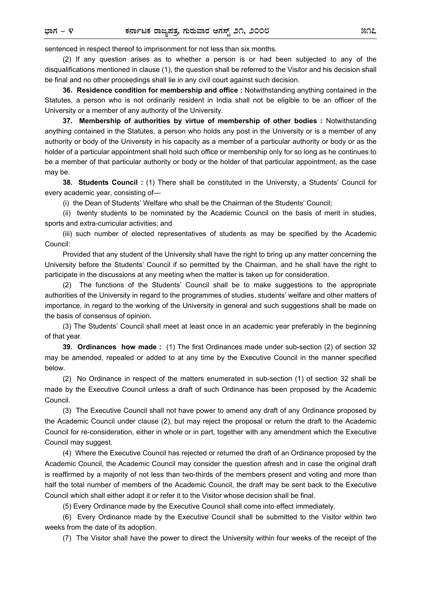sentenced in respect thereof to imprisonment for not less than six months.

(2) If any question arises as to whether a person is or had been subjected to any of the disqualifications mentioned in clause (1), the question shall be referred to the Visitor and his decision shall be final and no other proceedings shall lie in any civil court against such decision.

**36. Residence condition for membership and office :** Notwithstanding anything contained in the Statutes, a person who is not ordinarily resident in India shall not be eligible to be an officer of the University or a member of any authority of the University.

**37. Membership of authorities by virtue of membership of other bodies :** Notwithstanding anything contained in the Statutes, a person who holds any post in the University or is a member of any authority or body of the University in his capacity as a member of a particular authority or body or as the holder of a particular appointment shall hold such office or membership only for so long as he continues to be a member of that particular authority or body or the holder of that particular appointment, as the case may be.

**38. Students Council :** (1) There shall be constituted in the University, a Students' Council for every academic year, consisting of—

(i) the Dean of Students' Welfare who shall be the Chairman of the Students' Council;

 (ii) twenty students to be nominated by the Academic Council on the basis of merit in studies, sports and extra-curricular activities; and

(iii) such number of elected representatives of students as may be specified by the Academic Council:

Provided that any student of the University shall have the right to bring up any matter concerning the University before the Students' Council if so permitted by the Chairman, and he shall have the right to participate in the discussions at any meeting when the matter is taken up for consideration.

(2) The functions of the Students' Council shall be to make suggestions to the appropriate authorities of the University in regard to the programmes of studies, students' welfare and other matters of importance, in regard to the working of the University in general and such suggestions shall be made on the basis of consensus of opinion.

(3) The Students' Council shall meet at least once in an academic year preferably in the beginning of that year.

**39. Ordinances how made :** (1) The first Ordinances made under sub-section (2) of section 32 may be amended, repealed or added to at any time by the Executive Council in the manner specified below.

(2) No Ordinance in respect of the matters enumerated in sub-section (1) of section 32 shall be made by the Executive Council unless a draft of such Ordinance has been proposed by the Academic Council.

(3) The Executive Council shall not have power to amend any draft of any Ordinance proposed by the Academic Council under clause (2), but may reject the proposal or return the draft to the Academic Council for re-consideration, either in whole or in part, together with any amendment which the Executive Council may suggest.

(4) Where the Executive Council has rejected or returned the draft of an Ordinance proposed by the Academic Council, the Academic Council may consider the question afresh and in case the original draft is reaffirmed by a majority of not less than two-thirds of the members present and voting and more than half the total number of members of the Academic Council, the draft may be sent back to the Executive Council which shall either adopt it or refer it to the Visitor whose decision shall be final.

(5) Every Ordinance made by the Executive Council shall come into effect immediately.

(6) Every Ordinance made by the Executive Council shall be submitted to the Visitor within two weeks from the date of its adoption.

(7) The Visitor shall have the power to direct the University within four weeks of the receipt of the